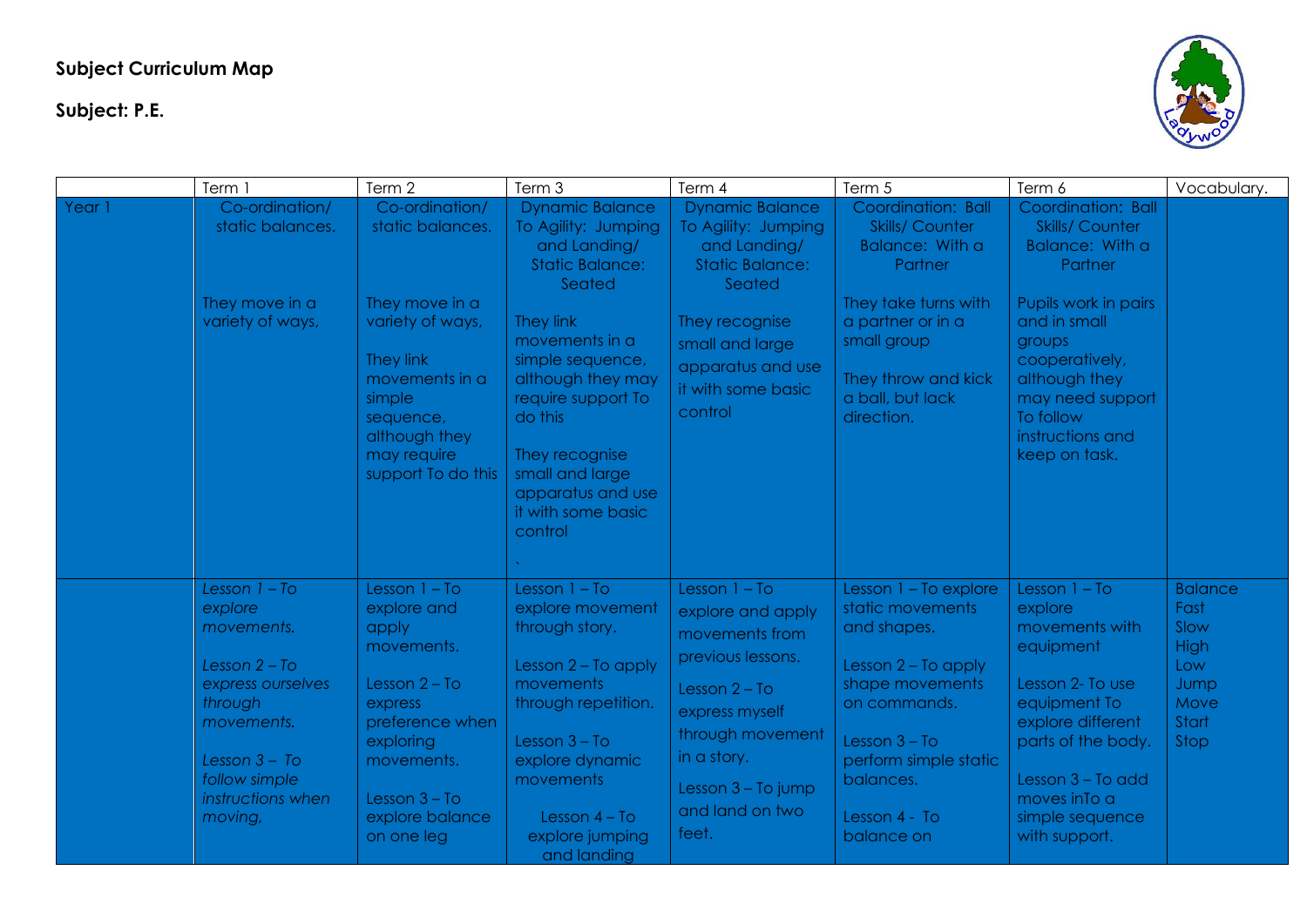## **Subject Curriculum Map**

**Subject: P.E.**



|        | Term 1                                                                                                                                                                        | Term 2                                                                                                                                                                                | Term 3                                                                                                                                                                                                                                                                                                | Term 4                                                                                                                                                                                                | Term 5                                                                                                                                                                                                         | Term 6                                                                                                                                                                                                                                | Vocabulary.                                                                           |
|--------|-------------------------------------------------------------------------------------------------------------------------------------------------------------------------------|---------------------------------------------------------------------------------------------------------------------------------------------------------------------------------------|-------------------------------------------------------------------------------------------------------------------------------------------------------------------------------------------------------------------------------------------------------------------------------------------------------|-------------------------------------------------------------------------------------------------------------------------------------------------------------------------------------------------------|----------------------------------------------------------------------------------------------------------------------------------------------------------------------------------------------------------------|---------------------------------------------------------------------------------------------------------------------------------------------------------------------------------------------------------------------------------------|---------------------------------------------------------------------------------------|
| Year 1 | Co-ordination/<br>static balances.<br>They move in a<br>variety of ways,                                                                                                      | Co-ordination/<br>static balances.<br>They move in a<br>variety of ways,<br>They link<br>movements in a<br>simple<br>sequence,<br>although they<br>may require<br>support To do this  | <b>Dynamic Balance</b><br>To Agility: Jumping<br>and Landing/<br><b>Static Balance:</b><br>Seated<br>They link<br>movements in a<br>simple sequence,<br>although they may<br>require support To<br>do this<br>They recognise<br>small and large<br>apparatus and use<br>it with some basic<br>control | <b>Dynamic Balance</b><br>To Agility: Jumping<br>and Landing/<br><b>Static Balance:</b><br>Seated<br>They recognise<br>small and large<br>apparatus and use<br>it with some basic<br>control          | Coordination: Ball<br><b>Skills/ Counter</b><br>Balance: With a<br>Partner<br>They take turns with<br>a partner or in a<br>small group<br>They throw and kick<br>a ball, but lack<br>direction.                | Coordination: Ball<br><b>Skills/ Counter</b><br>Balance: With a<br>Partner<br>Pupils work in pairs<br>and in small<br>groups<br>cooperatively,<br>although they<br>may need support<br>To follow<br>instructions and<br>keep on task. |                                                                                       |
|        | Lesson $1 - To$<br>explore<br>movements.<br>Lesson $2 - To$<br>express ourselves<br>through<br>movements.<br>Lesson $3 - To$<br>follow simple<br>instructions when<br>moving, | Lesson $1 - To$<br>explore and<br>apply<br>movements.<br>Lesson $2 - To$<br>express<br>preference when<br>exploring<br>movements.<br>Lesson $3 - To$<br>explore balance<br>on one leg | Lesson $1 - To$<br>explore movement<br>through story.<br>Lesson $2 - To$ apply<br>movements<br>through repetition.<br>Lesson $3 - To$<br>explore dynamic<br>movements<br>Lesson $4 - To$<br>explore jumping<br>and landing                                                                            | Lesson $1 - To$<br>explore and apply<br>movements from<br>previous lessons.<br>Lesson $2 - To$<br>express myself<br>through movement<br>in a story.<br>Lesson 3 - To jump<br>and land on two<br>feet. | Lesson $1 - To explore$<br>static movements<br>and shapes.<br>Lesson $2 - To$ apply<br>shape movements<br>on commands.<br>Lesson $3 - To$<br>perform simple static<br>balances.<br>Lesson 4 - To<br>balance on | Lesson $1 - To$<br>explore<br>movements with<br>equipment<br>Lesson 2- To use<br>equipment To<br>explore different<br>parts of the body.<br>Lesson 3 - To add<br>moves in To a<br>simple sequence<br>with support.                    | <b>Balance</b><br>Fast<br>Slow<br><b>High</b><br>Low<br>Jump<br>Move<br>Start<br>Stop |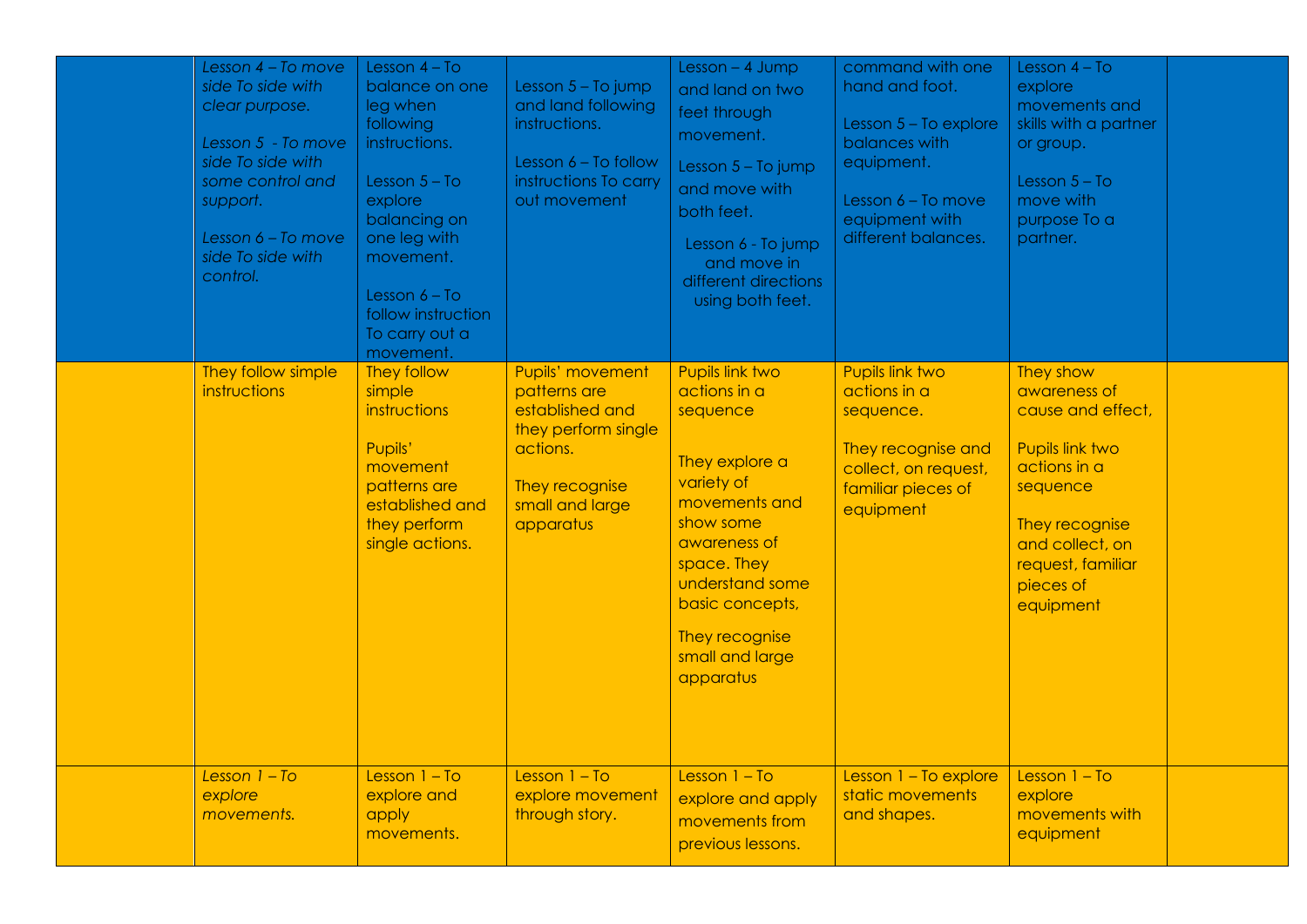| Lesson 4 - To move<br>side To side with<br>clear purpose.<br>Lesson 5 - To move<br>side To side with<br>some control and<br>support.<br>Lesson 6 - To move<br>side To side with<br>control. | Lesson $4 - To$<br>balance on one<br>leg when<br>following<br>instructions.<br>Lesson $5 - To$<br>explore<br>balancing on<br>one leg with<br>movement.<br>Lesson $6 - To$<br>follow instruction<br>To carry out a<br>movement. | Lesson 5 - To jump<br>and land following<br>instructions.<br>Lesson 6 - To follow<br>instructions To carry<br>out movement               | Lesson $-4$ Jump<br>and land on two<br>feet through<br>movement.<br>Lesson 5 - To jump<br>and move with<br>both feet.<br>Lesson 6 - To jump<br>and move in<br>different directions<br>using both feet.                           | command with one<br>hand and foot.<br>Lesson $5 - To explore$<br>balances with<br>equipment.<br>Lesson 6 - To move<br>equipment with<br>different balances. | Lesson $4 - To$<br>explore<br>movements and<br>skills with a partner<br>or group.<br>Lesson $5 - To$<br>move with<br>purpose To a<br>partner.                                     |  |
|---------------------------------------------------------------------------------------------------------------------------------------------------------------------------------------------|--------------------------------------------------------------------------------------------------------------------------------------------------------------------------------------------------------------------------------|------------------------------------------------------------------------------------------------------------------------------------------|----------------------------------------------------------------------------------------------------------------------------------------------------------------------------------------------------------------------------------|-------------------------------------------------------------------------------------------------------------------------------------------------------------|-----------------------------------------------------------------------------------------------------------------------------------------------------------------------------------|--|
| They follow simple<br><i>instructions</i>                                                                                                                                                   | They follow<br>simple<br><i>instructions</i><br>Pupils'<br>movement<br>patterns are<br>established and<br>they perform<br>single actions.                                                                                      | Pupils' movement<br>patterns are<br>established and<br>they perform single<br>actions.<br>They recognise<br>small and large<br>apparatus | Pupils link two<br>actions in a<br>sequence<br>They explore a<br>variety of<br>movements and<br>show some<br>awareness of<br>space. They<br>understand some<br>basic concepts,<br>They recognise<br>small and large<br>apparatus | Pupils link two<br>actions in a<br>sequence.<br>They recognise and<br>collect, on request,<br>familiar pieces of<br>equipment                               | They show<br>awareness of<br>cause and effect,<br>Pupils link two<br>actions in a<br>sequence<br>They recognise<br>and collect, on<br>request, familiar<br>pieces of<br>equipment |  |
| Lesson $1 - To$<br>explore<br>movements.                                                                                                                                                    | Lesson $1 - To$<br>explore and<br>apply<br>movements.                                                                                                                                                                          | Lesson $1 - To$<br>explore movement<br>through story.                                                                                    | Lesson $1 - To$<br>explore and apply<br>movements from<br>previous lessons.                                                                                                                                                      | Lesson $1 - To explore$<br>static movements<br>and shapes.                                                                                                  | Lesson $1 - To$<br>explore<br>movements with<br>equipment                                                                                                                         |  |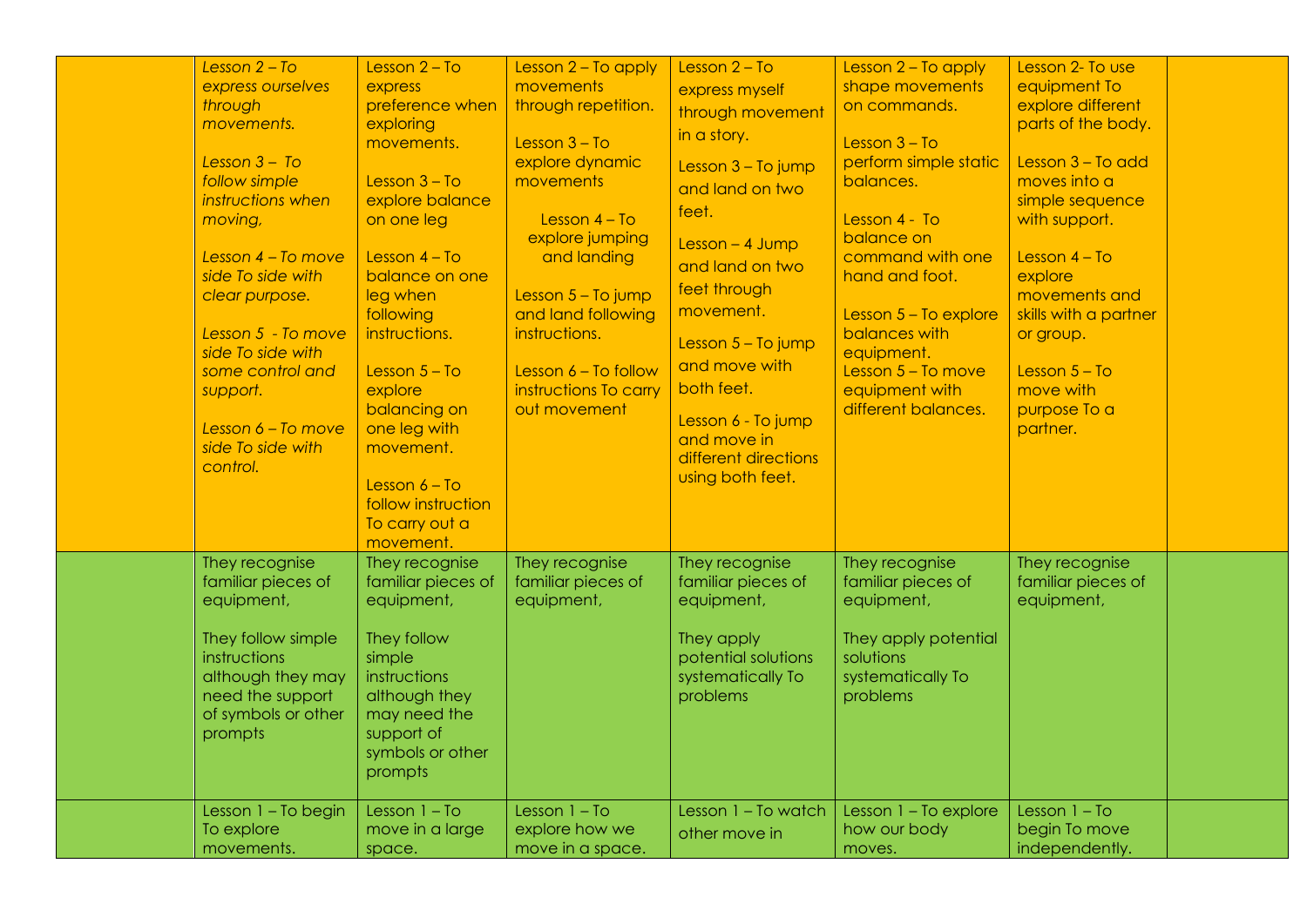| Lesson $2 - To$<br>express ourselves<br>through<br>movements.<br>Lesson $3 - To$<br>follow simple<br>instructions when<br>moving,<br>Lesson $4$ – To move<br>side To side with<br>clear purpose.<br>Lesson 5 - To move<br>side To side with<br>some control and<br>support.<br>Lesson 6 - To move<br>side To side with<br>control. | Lesson $2 - To$<br>express<br>preference when<br>exploring<br>movements.<br>Lesson $3 - To$<br>explore balance<br>on one leg<br>Lesson $4 - To$<br>balance on one<br>leg when<br>following<br>instructions.<br>Lesson $5 - To$<br>explore<br>balancing on<br>one leg with<br>movement.<br>Lesson $6 - To$<br>follow instruction<br>To carry out a<br>movement. | Lesson 2 - To apply<br>movements<br>through repetition.<br>Lesson $3 - To$<br>explore dynamic<br>movements<br>Lesson $4 - To$<br>explore jumping<br>and landing<br>Lesson $5 - To jump$<br>and land following<br>instructions.<br>Lesson 6 - To follow<br>instructions To carry<br>out movement | Lesson $2 - To$<br>express myself<br>through movement<br>in a story.<br>Lesson 3 - To jump<br>and land on two<br>feet.<br>$Lesson - 4 Jump$<br>and land on two<br>feet through<br>movement.<br>Lesson $5 - To jump$<br>and move with<br>both feet.<br>Lesson 6 - To jump<br>and move in<br>different directions<br>using both feet. | Lesson 2 - To apply<br>shape movements<br>on commands.<br>Lesson $3 - To$<br>perform simple static<br>balances.<br>Lesson 4 - To<br>balance on<br>command with one<br>hand and foot.<br>Lesson $5 - To explore$<br>balances with<br>equipment.<br>Lesson $5 - To move$<br>equipment with<br>different balances. | Lesson 2- To use<br>equipment To<br>explore different<br>parts of the body.<br>Lesson 3 - To add<br>moves into a<br>simple sequence<br>with support.<br>Lesson $4 - To$<br>explore<br>movements and<br>skills with a partner<br>or group.<br>Lesson $5 - To$<br>move with<br>purpose To a<br>partner. |  |
|------------------------------------------------------------------------------------------------------------------------------------------------------------------------------------------------------------------------------------------------------------------------------------------------------------------------------------|----------------------------------------------------------------------------------------------------------------------------------------------------------------------------------------------------------------------------------------------------------------------------------------------------------------------------------------------------------------|-------------------------------------------------------------------------------------------------------------------------------------------------------------------------------------------------------------------------------------------------------------------------------------------------|-------------------------------------------------------------------------------------------------------------------------------------------------------------------------------------------------------------------------------------------------------------------------------------------------------------------------------------|-----------------------------------------------------------------------------------------------------------------------------------------------------------------------------------------------------------------------------------------------------------------------------------------------------------------|-------------------------------------------------------------------------------------------------------------------------------------------------------------------------------------------------------------------------------------------------------------------------------------------------------|--|
| They recognise<br>familiar pieces of<br>equipment,<br>They follow simple<br>instructions<br>although they may<br>need the support<br>of symbols or other<br>prompts                                                                                                                                                                | They recognise<br>familiar pieces of<br>equipment,<br>They follow<br>simple<br>instructions<br>although they<br>may need the<br>support of<br>symbols or other<br>prompts                                                                                                                                                                                      | They recognise<br>familiar pieces of<br>equipment,                                                                                                                                                                                                                                              | They recognise<br>familiar pieces of<br>equipment,<br>They apply<br>potential solutions<br>systematically To<br>problems                                                                                                                                                                                                            | They recognise<br>familiar pieces of<br>equipment,<br>They apply potential<br>solutions<br>systematically To<br>problems                                                                                                                                                                                        | They recognise<br>familiar pieces of<br>equipment,                                                                                                                                                                                                                                                    |  |
| Lesson 1 - To begin<br>To explore<br>movements.                                                                                                                                                                                                                                                                                    | Lesson $1 - To$<br>move in a large<br>space.                                                                                                                                                                                                                                                                                                                   | Lesson $1 - To$<br>explore how we<br>move in a space.                                                                                                                                                                                                                                           | Lesson 1 - To watch<br>other move in                                                                                                                                                                                                                                                                                                | Lesson 1 - To explore<br>how our body<br>moves.                                                                                                                                                                                                                                                                 | Lesson $1 - To$<br>begin To move<br>independently.                                                                                                                                                                                                                                                    |  |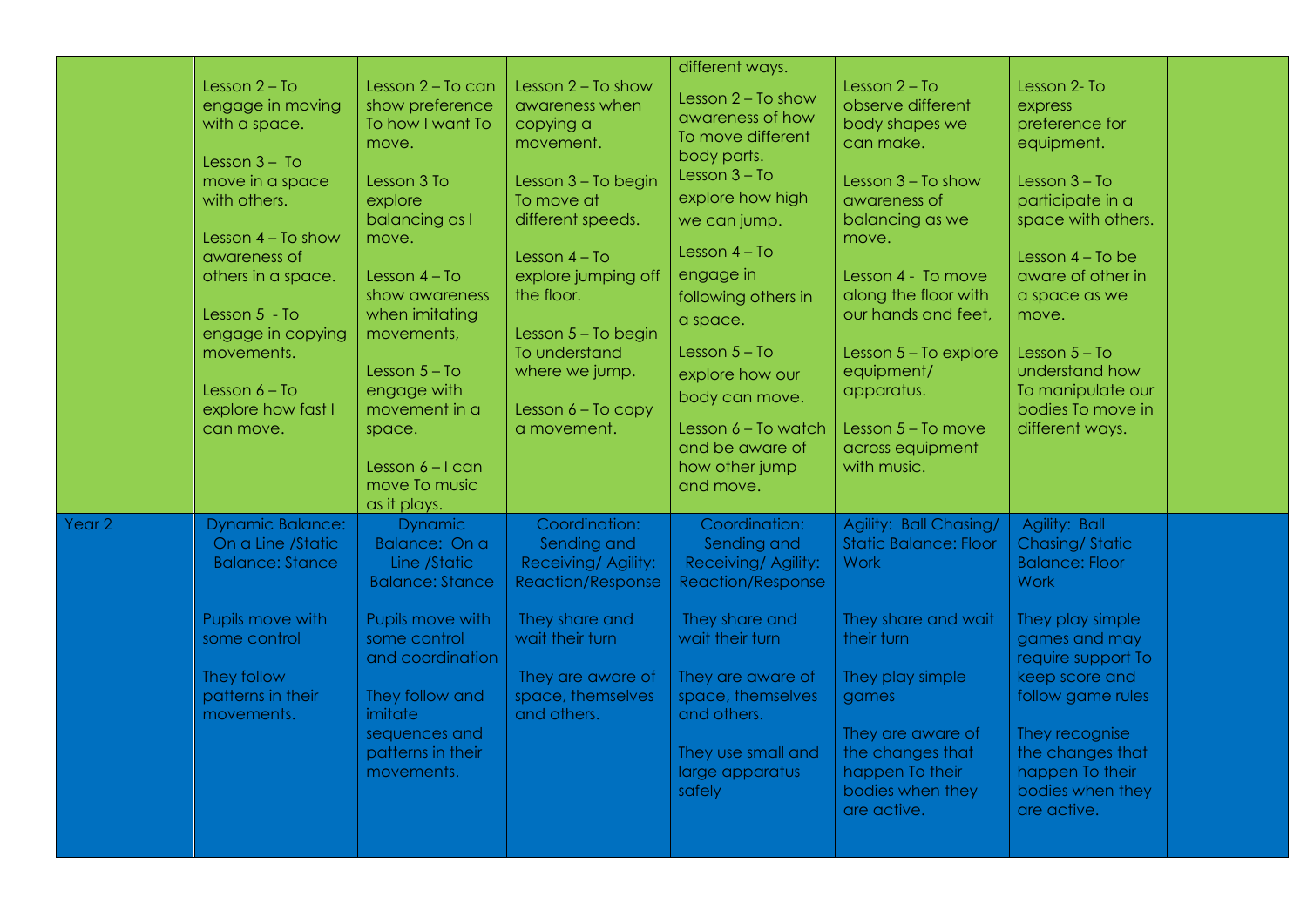|        | Lesson $2 - To$<br>engage in moving<br>with a space.<br>Lesson $3 - To$<br>move in a space<br>with others.<br>Lesson $4 - To show$<br>awareness of<br>others in a space. | Lesson 2 - To can<br>show preference<br>To how I want To<br>move.<br>Lesson 3 To<br>explore<br>balancing as I<br>move.<br>Lesson $4 - To$<br>show awareness                                                         | Lesson $2 - To show$<br>awareness when<br>copying a<br>movement.<br>Lesson 3 - To begin<br>To move at<br>different speeds.<br>Lesson $4 - To$<br>explore jumping off<br>the floor. | different ways.<br>Lesson $2 - To show$<br>awareness of how<br>To move different<br>body parts.<br>Lesson $3 - To$<br>explore how high<br>we can jump.<br>Lesson $4 - To$<br>engage in<br>following others in                    | Lesson $2 - To$<br>observe different<br>body shapes we<br>can make.<br>Lesson $3 - To show$<br>awareness of<br>balancing as we<br>move.<br>Lesson 4 - To move<br>along the floor with                                                  | Lesson 2- To<br>express<br>preference for<br>equipment.<br>Lesson $3 - To$<br>participate in a<br>space with others.<br>Lesson $4 - To$ be<br>aware of other in<br>a space as we                                                                                             |  |
|--------|--------------------------------------------------------------------------------------------------------------------------------------------------------------------------|---------------------------------------------------------------------------------------------------------------------------------------------------------------------------------------------------------------------|------------------------------------------------------------------------------------------------------------------------------------------------------------------------------------|----------------------------------------------------------------------------------------------------------------------------------------------------------------------------------------------------------------------------------|----------------------------------------------------------------------------------------------------------------------------------------------------------------------------------------------------------------------------------------|------------------------------------------------------------------------------------------------------------------------------------------------------------------------------------------------------------------------------------------------------------------------------|--|
|        | Lesson 5 - To<br>engage in copying<br>movements.<br>Lesson $6 - To$<br>explore how fast I<br>can move.                                                                   | when imitating<br>movements,<br>Lesson $5 - To$<br>engage with<br>movement in a<br>space.<br>Lesson $6 - 1$ can<br>move To music<br>as it plays.                                                                    | Lesson 5 - To begin<br>To understand<br>where we jump.<br>Lesson $6 - To copy$<br>a movement.                                                                                      | a space.<br>Lesson $5 - To$<br>explore how our<br>body can move.<br>Lesson 6 - To watch<br>and be aware of<br>how other jump<br>and move.                                                                                        | our hands and feet,<br>Lesson 5 - To explore<br>equipment/<br>apparatus.<br>Lesson 5 - To move<br>across equipment<br>with music.                                                                                                      | move.<br>Lesson $5 - To$<br>understand how<br>To manipulate our<br>bodies To move in<br>different ways.                                                                                                                                                                      |  |
| Year 2 | <b>Dynamic Balance:</b><br>On a Line /Static<br><b>Balance: Stance</b><br>Pupils move with<br>some control<br>They follow<br>patterns in their<br>movements.             | <b>Dynamic</b><br>Balance: On a<br>Line /Static<br><b>Balance: Stance</b><br>Pupils move with<br>some control<br>and coordination<br>They follow and<br>imitate<br>sequences and<br>patterns in their<br>movements. | Coordination:<br>Sending and<br>Receiving/ Agility:<br><b>Reaction/Response</b><br>They share and<br>wait their turn<br>They are aware of<br>space, themselves<br>and others.      | Coordination:<br>Sending and<br>Receiving/ Agility:<br><b>Reaction/Response</b><br>They share and<br>wait their turn<br>They are aware of<br>space, themselves<br>and others.<br>They use small and<br>large apparatus<br>safely | Agility: Ball Chasing/<br><b>Static Balance: Floor</b><br><b>Work</b><br>They share and wait<br>their turn<br>They play simple<br>games<br>They are aware of<br>the changes that<br>happen To their<br>bodies when they<br>are active. | Agility: Ball<br><b>Chasing/Static</b><br><b>Balance: Floor</b><br><b>Work</b><br>They play simple<br>games and may<br>require support To<br>keep score and<br>follow game rules<br>They recognise<br>the changes that<br>happen To their<br>bodies when they<br>are active. |  |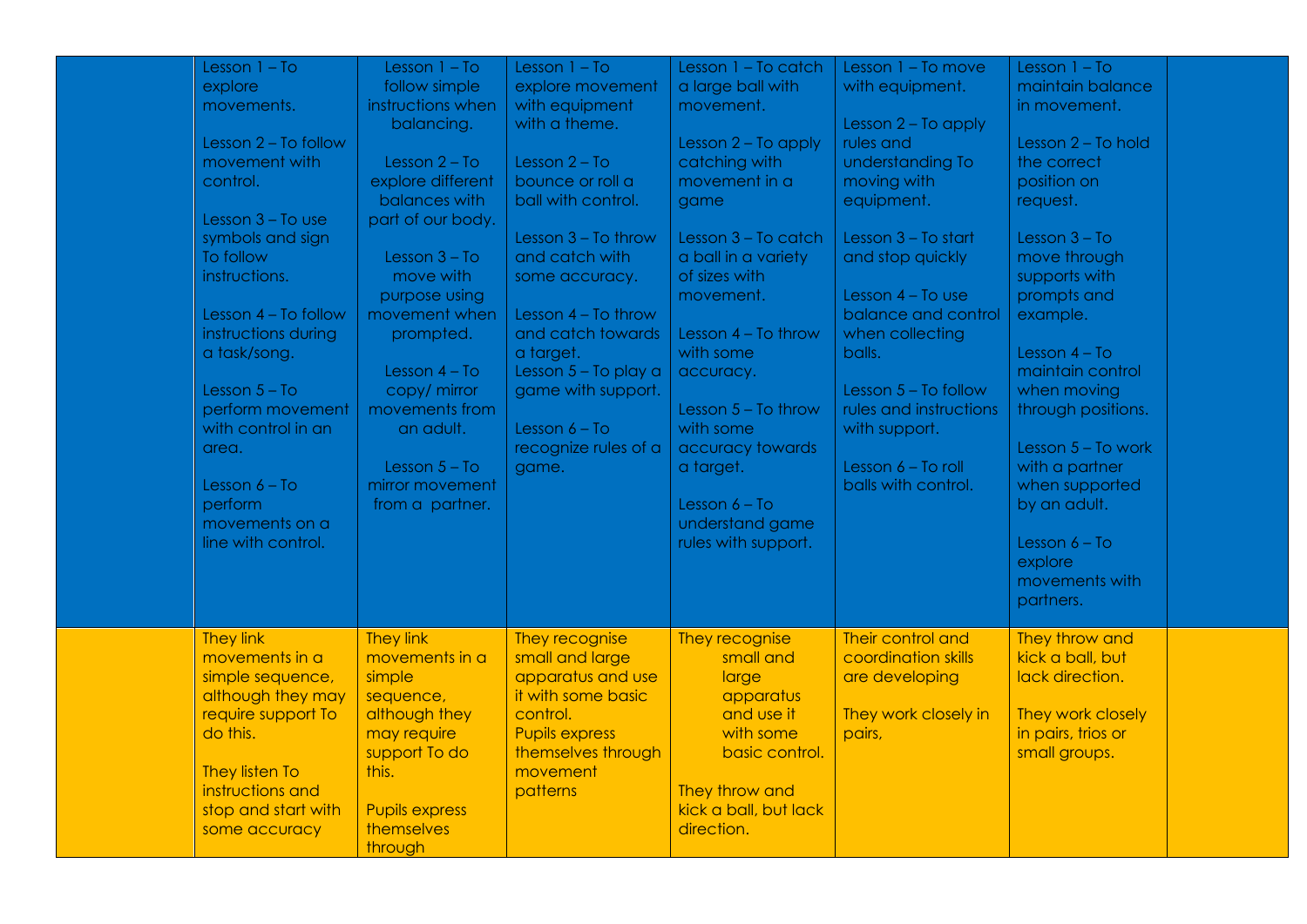| Lesson $1 - To$<br>explore<br>movements.<br>Lesson 2 - To follow<br>movement with<br>control.<br>Lesson $3 - To$ use<br>symbols and sign<br>To follow<br>instructions.<br>Lesson 4 - To follow<br>instructions during<br>a task/song.<br>Lesson $5 - To$<br>perform movement<br>with control in an<br>area.<br>Lesson $6 - To$<br>perform<br>movements on a<br>line with control. | Lesson $1 - To$<br>follow simple<br>instructions when<br>balancing.<br>Lesson $2 - To$<br>explore different<br>balances with<br>part of our body.<br>Lesson $3 - To$<br>move with<br>purpose using<br>movement when<br>prompted.<br>Lesson $4 - To$<br>copy/ mirror<br>movements from<br>an adult.<br>Lesson $5 - To$<br>mirror movement<br>from a partner. | Lesson $1 - To$<br>explore movement<br>with equipment<br>with a theme.<br>Lesson $2 - To$<br>bounce or roll a<br>ball with control.<br>Lesson $3 - To throw$<br>and catch with<br>some accuracy.<br>Lesson $4 - To throw$<br>and catch towards<br>a target.<br>Lesson 5 - To play a<br>game with support.<br>Lesson $6 - To$<br>recognize rules of a<br>game. | Lesson 1 - To catch<br>a large ball with<br>movement.<br>Lesson $2 - To$ apply<br>catching with<br>movement in a<br>game<br>Lesson 3 - To catch<br>a ball in a variety<br>of sizes with<br>movement.<br>Lesson 4 - To throw<br>with some<br>accuracy.<br>Lesson $5 - To throw$<br>with some<br>accuracy towards<br>a target.<br>Lesson $6 - To$<br>understand game<br>rules with support. | Lesson 1 - To move<br>with equipment.<br>Lesson $2 - To$ apply<br>rules and<br>understanding To<br>moving with<br>equipment.<br>Lesson 3 - To start<br>and stop quickly<br>Lesson $4 - To$ use<br>balance and control<br>when collecting<br>balls.<br>Lesson $5 - To follow$<br>rules and instructions<br>with support.<br>Lesson 6 - To roll<br>balls with control. | Lesson $1 - To$<br>maintain balance<br>in movement.<br>Lesson 2 - To hold<br>the correct<br>position on<br>request.<br>Lesson $3 - To$<br>move through<br>supports with<br>prompts and<br>example.<br>Lesson $4 - To$<br>maintain control<br>when moving<br>through positions.<br>Lesson $5 - To work$<br>with a partner<br>when supported<br>by an adult.<br>Lesson $6 - To$<br>explore<br>movements with |  |
|-----------------------------------------------------------------------------------------------------------------------------------------------------------------------------------------------------------------------------------------------------------------------------------------------------------------------------------------------------------------------------------|-------------------------------------------------------------------------------------------------------------------------------------------------------------------------------------------------------------------------------------------------------------------------------------------------------------------------------------------------------------|---------------------------------------------------------------------------------------------------------------------------------------------------------------------------------------------------------------------------------------------------------------------------------------------------------------------------------------------------------------|-------------------------------------------------------------------------------------------------------------------------------------------------------------------------------------------------------------------------------------------------------------------------------------------------------------------------------------------------------------------------------------------|----------------------------------------------------------------------------------------------------------------------------------------------------------------------------------------------------------------------------------------------------------------------------------------------------------------------------------------------------------------------|------------------------------------------------------------------------------------------------------------------------------------------------------------------------------------------------------------------------------------------------------------------------------------------------------------------------------------------------------------------------------------------------------------|--|
| <b>They link</b><br>movements in a<br>simple sequence,<br>although they may<br>require support To<br>do this.<br>They listen To<br>instructions and<br>stop and start with<br>some accuracy                                                                                                                                                                                       | <b>They link</b><br>movements in a<br>simple<br>sequence,<br>although they<br>may require<br>support To do<br>this.<br><b>Pupils express</b><br>themselves<br>through                                                                                                                                                                                       | They recognise<br>small and large<br>apparatus and use<br>it with some basic<br>control.<br><b>Pupils express</b><br>themselves through<br>movement<br>patterns                                                                                                                                                                                               | They recognise<br>small and<br>large<br>apparatus<br>and use it<br>with some<br>basic control.<br>They throw and<br>kick a ball, but lack<br>direction.                                                                                                                                                                                                                                   | Their control and<br>coordination skills<br>are developing<br>They work closely in<br>pairs,                                                                                                                                                                                                                                                                         | partners.<br>They throw and<br>kick a ball, but<br>lack direction.<br>They work closely<br>in pairs, trios or<br>small groups.                                                                                                                                                                                                                                                                             |  |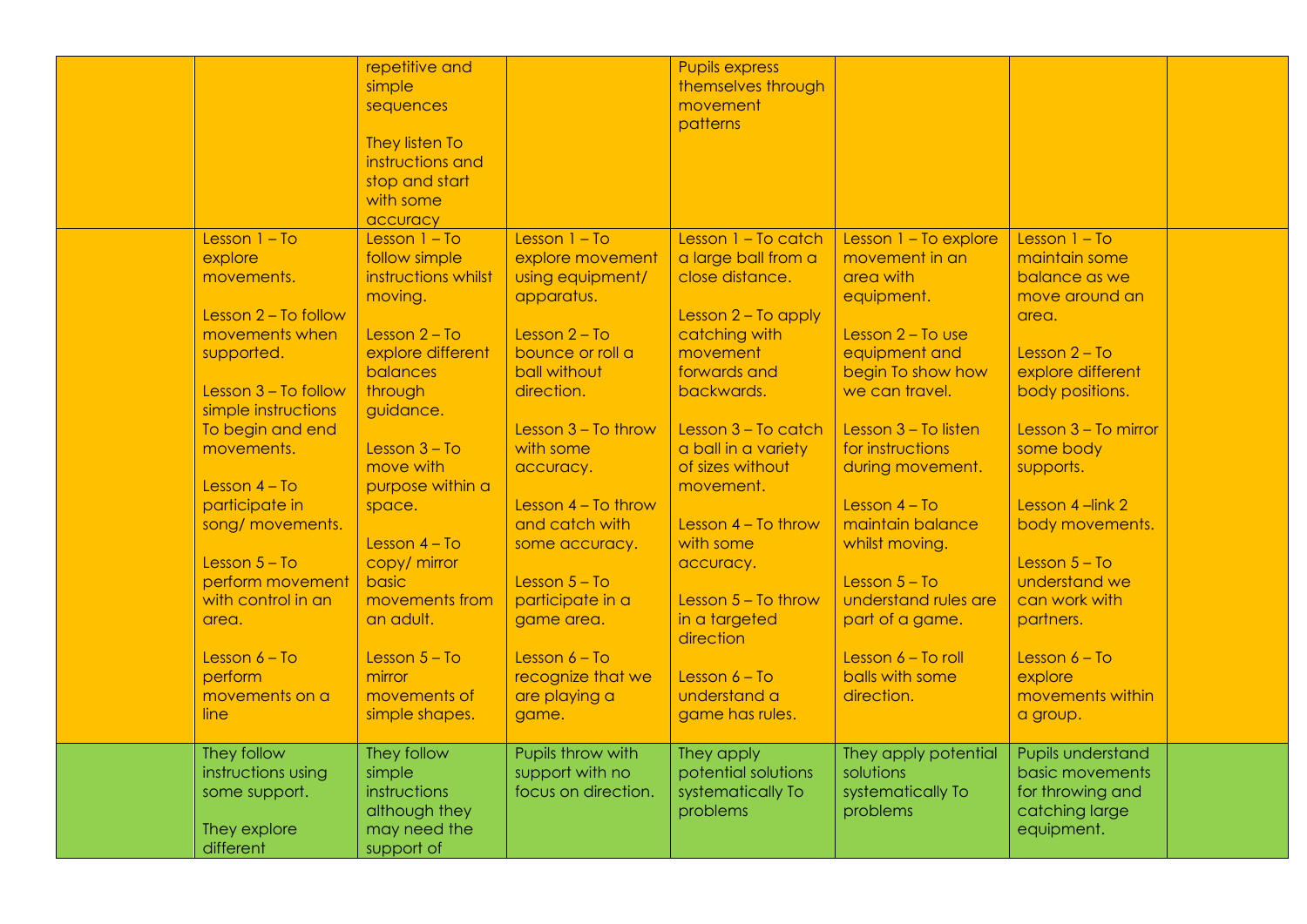|                                                                                 | repetitive and<br>simple<br>sequences<br>They listen To<br>instructions and<br>stop and start<br>with some<br>accuracy |                                                                       | <b>Pupils express</b><br>themselves through<br>movement<br>patterns |                                                                    |                                                                                          |  |
|---------------------------------------------------------------------------------|------------------------------------------------------------------------------------------------------------------------|-----------------------------------------------------------------------|---------------------------------------------------------------------|--------------------------------------------------------------------|------------------------------------------------------------------------------------------|--|
| Lesson $1 - To$<br>explore<br>movements.                                        | Lesson $1 - To$<br>follow simple<br>instructions whilst<br>moving.                                                     | Lesson $1 - To$<br>explore movement<br>using equipment/<br>apparatus. | Lesson 1 - To catch<br>a large ball from a<br>close distance.       | Lesson 1 - To explore<br>movement in an<br>area with<br>equipment. | Lesson $1 - To$<br>maintain some<br>balance as we<br>move around an                      |  |
| Lesson $2 - To follow$<br>movements when<br>supported.                          | Lesson $2 - To$<br>explore different<br>balances                                                                       | Lesson $2 - To$<br>bounce or roll a<br>ball without                   | Lesson 2 - To apply<br>catching with<br>movement<br>forwards and    | Lesson $2 - To$ use<br>equipment and<br>begin To show how          | area.<br>Lesson $2 - To$<br>explore different                                            |  |
| Lesson $3 - To follow$<br>simple instructions<br>To begin and end               | through<br>guidance.                                                                                                   | direction.<br>Lesson $3 - To throw$                                   | backwards.<br>Lesson 3 - To catch                                   | we can travel.<br>Lesson $3 - To$ listen                           | body positions.<br>Lesson $3 - To$ mirror                                                |  |
| movements.<br>Lesson $4 - To$<br>participate in                                 | Lesson $3 - To$<br>move with<br>purpose within a<br>space.                                                             | with some<br>accuracy.<br>Lesson $4 - To throw$                       | a ball in a variety<br>of sizes without<br>movement.                | for instructions<br>during movement.<br>Lesson $4 - To$            | some body<br>supports.<br>Lesson 4-link 2                                                |  |
| song/ movements.<br>Lesson $5 - To$                                             | Lesson $4 - To$<br>copy/ mirror                                                                                        | and catch with<br>some accuracy.                                      | Lesson $4 - To throw$<br>with some<br>accuracy.                     | maintain balance<br>whilst moving.                                 | body movements.<br>Lesson $5 - To$                                                       |  |
| perform movement<br>with control in an<br>area.                                 | basic<br>movements from<br>an adult.                                                                                   | Lesson $5 - To$<br>participate in a<br>game area.                     | Lesson $5 - To throw$<br>in a targeted<br>direction                 | Lesson $5 - To$<br>understand rules are<br>part of a game.         | understand we<br>can work with<br>partners.                                              |  |
| Lesson $6 - To$<br>perform<br>movements on a<br>line                            | Lesson $5 - To$<br>mirror<br>movements of<br>simple shapes.                                                            | Lesson $6 - To$<br>recognize that we<br>are playing a<br>game.        | Lesson $6 - To$<br>understand a<br>game has rules.                  | Lesson 6 - To roll<br>balls with some<br>direction.                | Lesson $6 - To$<br>explore<br>movements within<br>a group.                               |  |
| They follow<br>instructions using<br>some support.<br>They explore<br>different | They follow<br>simple<br>instructions<br>although they<br>may need the<br>support of                                   | Pupils throw with<br>support with no<br>focus on direction.           | They apply<br>potential solutions<br>systematically To<br>problems  | They apply potential<br>solutions<br>systematically To<br>problems | Pupils understand<br>basic movements<br>for throwing and<br>catching large<br>equipment. |  |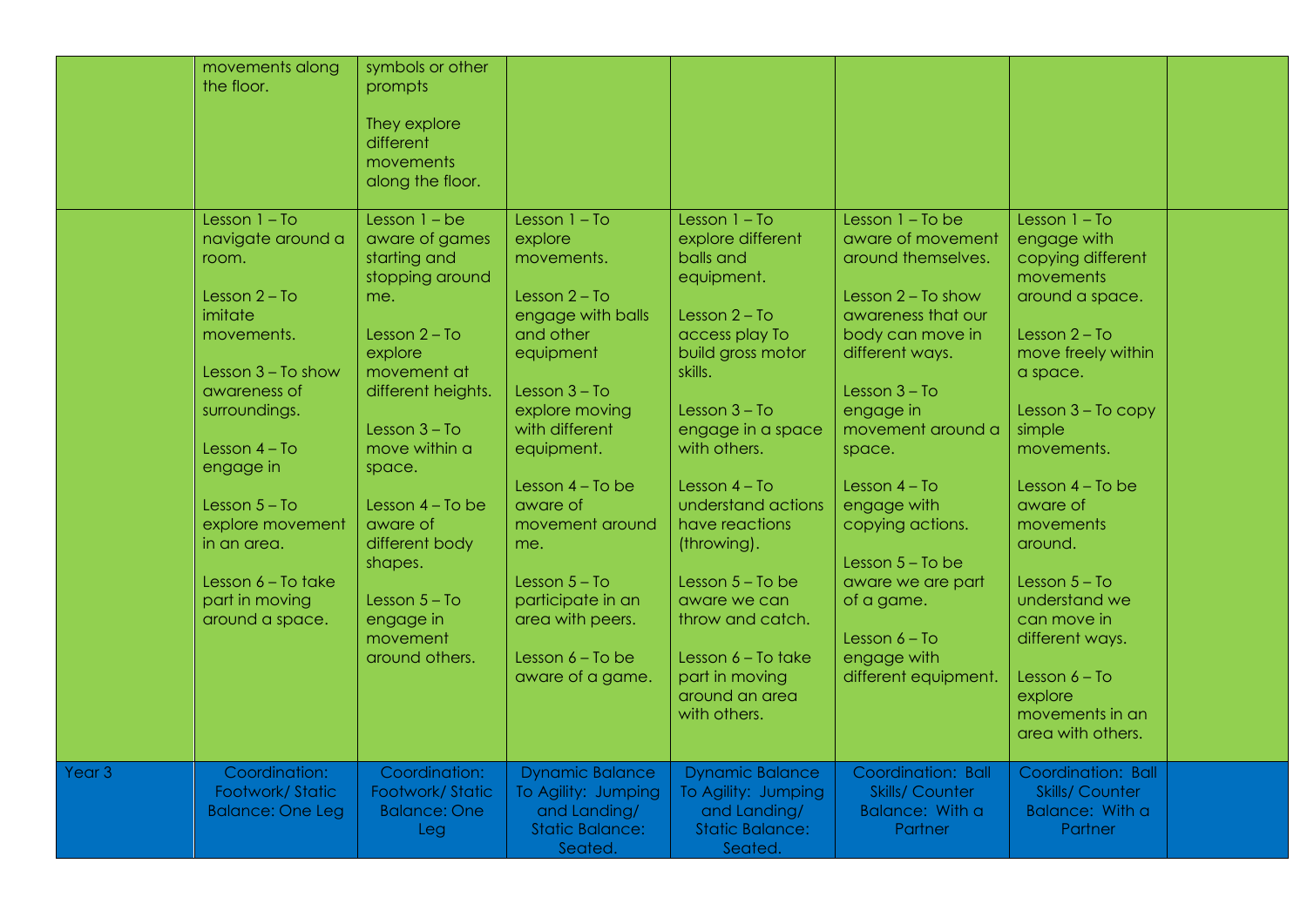|                   | movements along<br>the floor.                                                                                                                                                      | symbols or other<br>prompts<br>They explore<br>different<br>movements<br>along the floor.                                                                                                    |                                                                                                                                                                                 |                                                                                                                                                                                                              |                                                                                                                                                                                                                   |                                                                                                                                                                                                    |  |
|-------------------|------------------------------------------------------------------------------------------------------------------------------------------------------------------------------------|----------------------------------------------------------------------------------------------------------------------------------------------------------------------------------------------|---------------------------------------------------------------------------------------------------------------------------------------------------------------------------------|--------------------------------------------------------------------------------------------------------------------------------------------------------------------------------------------------------------|-------------------------------------------------------------------------------------------------------------------------------------------------------------------------------------------------------------------|----------------------------------------------------------------------------------------------------------------------------------------------------------------------------------------------------|--|
|                   | Lesson $1 - To$<br>navigate around a<br>room.<br>Lesson $2 - To$<br>imitate<br>movements.<br>Lesson $3 - To show$<br>awareness of<br>surroundings.<br>Lesson $4 - To$<br>engage in | Lesson $1 - be$<br>aware of games<br>starting and<br>stopping around<br>me.<br>Lesson $2 - To$<br>explore<br>movement at<br>different heights.<br>Lesson $3 - To$<br>move within a<br>space. | Lesson $1 - To$<br>explore<br>movements.<br>Lesson $2 - To$<br>engage with balls<br>and other<br>equipment<br>Lesson $3 - To$<br>explore moving<br>with different<br>equipment. | Lesson $1 - To$<br>explore different<br>balls and<br>equipment.<br>Lesson $2 - To$<br>access play To<br>build gross motor<br>skills.<br>Lesson $3 - To$<br>engage in a space<br>with others.                 | Lesson $1 - To be$<br>aware of movement<br>around themselves.<br>Lesson $2 - To show$<br>awareness that our<br>body can move in<br>different ways.<br>Lesson $3 - To$<br>engage in<br>movement around a<br>space. | Lesson $1 - To$<br>engage with<br>copying different<br>movements<br>around a space.<br>Lesson $2 - To$<br>move freely within<br>a space.<br>Lesson $3 - To copy$<br>simple<br>movements.           |  |
|                   | Lesson $5 - To$<br>explore movement<br>in an area.<br>Lesson $6 - To$ take<br>part in moving<br>around a space.                                                                    | Lesson $4 - To$ be<br>aware of<br>different body<br>shapes.<br>Lesson $5 - To$<br>engage in<br>movement<br>around others.                                                                    | Lesson $4 - To$ be<br>aware of<br>movement around<br>me.<br>Lesson $5 - To$<br>participate in an<br>area with peers.<br>Lesson $6 - To$ be<br>aware of a game.                  | Lesson $4 - To$<br>understand actions<br>have reactions<br>(throwing).<br>Lesson $5 - To$ be<br>aware we can<br>throw and catch.<br>Lesson $6 - To$ take<br>part in moving<br>around an area<br>with others. | Lesson $4 - To$<br>engage with<br>copying actions.<br>Lesson $5 - To$ be<br>aware we are part<br>of a game.<br>Lesson $6 - To$<br>engage with<br>different equipment.                                             | Lesson $4 - To$ be<br>aware of<br>movements<br>around.<br>Lesson $5 - To$<br>understand we<br>can move in<br>different ways.<br>Lesson $6 - To$<br>explore<br>movements in an<br>area with others. |  |
| Year <sub>3</sub> | Coordination:<br>Footwork/Static<br><b>Balance: One Leg</b>                                                                                                                        | Coordination:<br>Footwork/Static<br><b>Balance: One</b><br>Leg                                                                                                                               | <b>Dynamic Balance</b><br>To Agility: Jumping<br>and Landing/<br><b>Static Balance:</b><br>Seated                                                                               | <b>Dynamic Balance</b><br>To Agility: Jumping<br>and Landing/<br><b>Static Balance:</b><br>Seated.                                                                                                           | Coordination: Ball<br><b>Skills/ Counter</b><br>Balance: With a<br>Partner                                                                                                                                        | Coordination: Ball<br><b>Skills/ Counter</b><br>Balance: With a<br>Partner                                                                                                                         |  |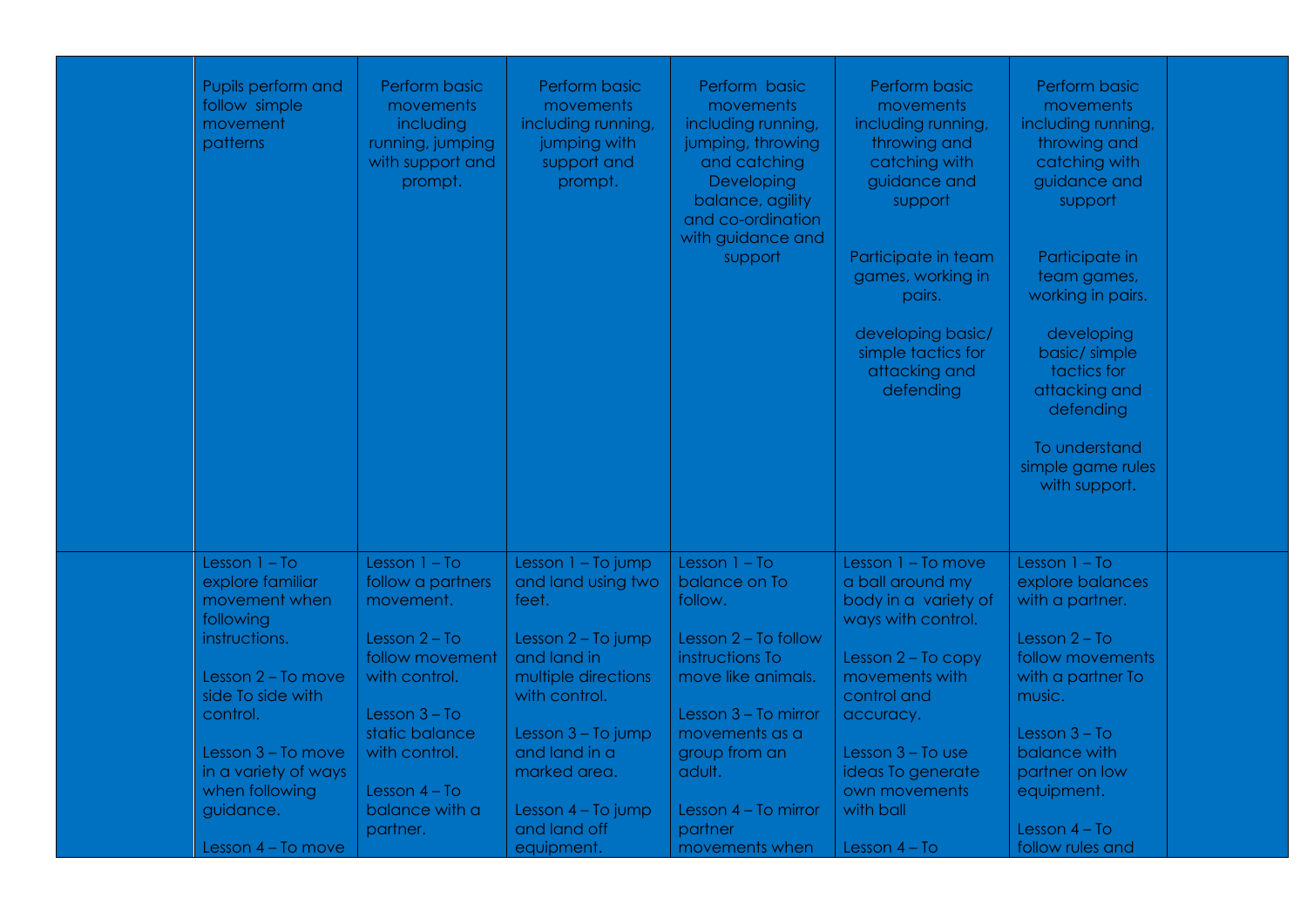| Pupils perform and<br>follow simple<br>movement<br>patterns                                                                                                                                                            | Perform basic<br>movements<br>including<br>running, jumping<br>with support and<br>prompt.                                                                                                                      | Perform basic<br>movements<br>including running,<br>jumping with<br>support and<br>prompt.                                                                                                                                  | Perform basic<br>movements<br>including running,<br>jumping, throwing<br>and catching<br>Developing<br>balance, agility<br>and co-ordination<br>with guidance and<br>support                                           | Perform basic<br>movements<br>including running,<br>throwing and<br>catching with<br>guidance and<br>support<br>Participate in team<br>games, working in<br>pairs.<br>developing basic/<br>simple tactics for<br>attacking and<br>defending | Perform basic<br>movements<br>including running,<br>throwing and<br>catching with<br>guidance and<br>support<br>Participate in<br>team games,<br>working in pairs.<br>developing<br>basic/simple<br>tactics for<br>attacking and<br>defending<br>To understand<br>simple game rules<br>with support. |  |
|------------------------------------------------------------------------------------------------------------------------------------------------------------------------------------------------------------------------|-----------------------------------------------------------------------------------------------------------------------------------------------------------------------------------------------------------------|-----------------------------------------------------------------------------------------------------------------------------------------------------------------------------------------------------------------------------|------------------------------------------------------------------------------------------------------------------------------------------------------------------------------------------------------------------------|---------------------------------------------------------------------------------------------------------------------------------------------------------------------------------------------------------------------------------------------|------------------------------------------------------------------------------------------------------------------------------------------------------------------------------------------------------------------------------------------------------------------------------------------------------|--|
| Lesson $1 - To$<br>explore familiar<br>movement when<br>following<br>instructions.<br>Lesson 2 - To move<br>side To side with<br>control.<br>Lesson 3 - To move<br>in a variety of ways<br>when following<br>guidance. | Lesson $1 - To$<br>follow a partners<br>movement.<br>Lesson $2 - To$<br>follow movement<br>with control.<br>Lesson $3 - To$<br>static balance<br>with control.<br>Lesson $4 - To$<br>balance with a<br>partner. | Lesson 1 - To jump<br>and land using two<br>feet.<br>Lesson 2 - To jump<br>and land in<br>multiple directions<br>with control.<br>Lesson 3 - To jump<br>and land in a<br>marked area.<br>Lesson 4 - To jump<br>and land off | Lesson $1 - To$<br>balance on To<br>follow.<br>Lesson $2 - To follow$<br>instructions To<br>move like animals.<br>Lesson 3 - To mirror<br>movements as a<br>group from an<br>adult.<br>Lesson 4 - To mirror<br>partner | Lesson 1 - To move<br>a ball around my<br>body in a variety of<br>ways with control.<br>Lesson 2 - To copy<br>movements with<br>control and<br>accuracy.<br>Lesson $3 - To$ use<br>ideas To generate<br>own movements<br>with ball          | Lesson $1 - To$<br>explore balances<br>with a partner.<br>Lesson $2 - To$<br>follow movements<br>with a partner To<br>music.<br>Lesson $3 - To$<br>balance with<br>partner on low<br>equipment.<br>Lesson $4 - To$                                                                                   |  |
| Lesson 4 - To move                                                                                                                                                                                                     |                                                                                                                                                                                                                 | equipment.                                                                                                                                                                                                                  | movements when                                                                                                                                                                                                         | Lesson $4 - To$                                                                                                                                                                                                                             | follow rules and                                                                                                                                                                                                                                                                                     |  |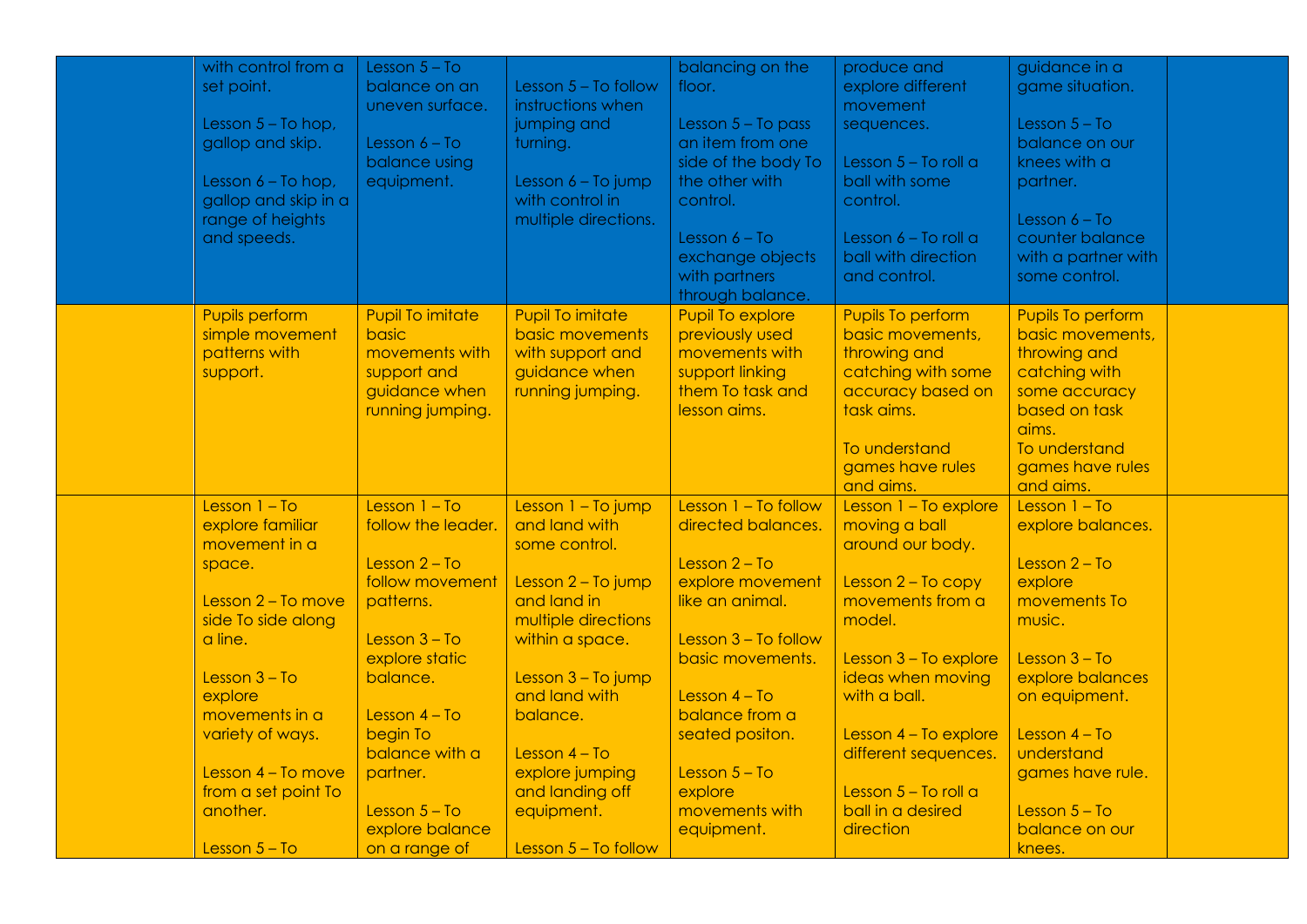| set point.<br>Lesson $5 - To follow$<br>explore different<br>game situation.<br>balance on an<br>floor.<br>instructions when<br>uneven surface.<br>movement<br>Lesson $5 - To hop$ ,<br>jumping and<br>Lesson $5 - To pass$<br>Lesson $5 - To$<br>sequences.<br>an item from one<br>balance on our<br>gallop and skip.<br>Lesson $6 - To$<br>turning.<br>balance using<br>side of the body To<br>Lesson $5 -$ To roll a<br>knees with a<br>the other with<br>Lesson 6 - To jump<br>ball with some<br>Lesson $6 - To hop$ ,<br>equipment.<br>partner.<br>with control in<br>gallop and skip in a<br>control.<br>control.<br>range of heights<br>multiple directions.<br>Lesson $6 - To$<br>and speeds.<br>Lesson $6 - To$<br>Lesson $6 - To$ roll a<br>counter balance<br>exchange objects<br>ball with direction<br>with a partner with<br>with partners<br>and control.<br>some control.<br>through balance.<br>Pupil To explore<br><b>Pupils perform</b><br><b>Pupil To imitate</b><br><b>Pupil To imitate</b><br>Pupils To perform<br>Pupils To perform<br>simple movement<br>basic<br>basic movements<br>previously used<br>basic movements,<br>basic movements,<br>patterns with<br>movements with<br>throwing and<br>throwing and<br>movements with<br>with support and<br>guidance when<br>support linking<br>catching with some<br>catching with<br>support.<br>support and<br>accuracy based on<br>guidance when<br>running jumping.<br>them To task and<br>some accuracy<br>lesson aims.<br>task aims.<br>based on task<br>running jumping.<br>aims.<br>To understand<br>To understand<br>games have rules<br>games have rules<br>and aims.<br>and aims.<br>Lesson $1 - To$<br>Lesson $1 - To$<br>Lesson 1 - To jump<br>Lesson $1 - To follow$<br>Lesson 1 - To explore<br>Lesson $1 - To$<br>explore familiar<br>and land with<br>directed balances.<br>moving a ball<br>follow the leader.<br>explore balances.<br>movement in a<br>around our body.<br>some control.<br>Lesson $2 - To$<br>Lesson $2 - To$<br>Lesson $2 - To$<br>space.<br>follow movement<br>explore movement<br>Lesson $2 - To copy$<br>explore<br>Lesson 2 - To jump<br>Lesson 2 - To move<br>and land in<br>like an animal.<br>movements from a<br>movements To<br>patterns.<br>side To side along<br>multiple directions<br>model.<br>music.<br>a line.<br>Lesson $3 - To$<br>within a space.<br>Lesson 3 - To follow<br>explore static<br>basic movements.<br>Lesson 3 - To explore<br>Lesson $3 - To$<br>ideas when moving<br>Lesson $3 - To$<br>balance.<br>Lesson $3 - To jump$<br>explore balances<br>and land with<br>explore<br>Lesson $4 - To$<br>with a ball.<br>on equipment.<br>balance from a<br>movements in a<br>Lesson $4 - To$<br>balance.<br>variety of ways.<br>begin To<br>seated positon.<br>Lesson $4 - To$<br>Lesson 4 - To explore<br>balance with a<br>different sequences.<br>understand<br>Lesson $4 - To$<br>Lesson 4 - To move<br>explore jumping<br>Lesson $5 - To$<br>games have rule.<br>partner.<br>from a set point To<br>and landing off<br>explore<br>Lesson $5 -$ To roll a<br>another.<br>ball in a desired<br>Lesson $5 - To$<br>equipment.<br>movements with<br>Lesson $5 - To$<br>explore balance<br>equipment.<br>direction<br>balance on our | with control from a | Lesson $5 - To$ |                        | balancing on the | produce and | guidance in a |  |
|--------------------------------------------------------------------------------------------------------------------------------------------------------------------------------------------------------------------------------------------------------------------------------------------------------------------------------------------------------------------------------------------------------------------------------------------------------------------------------------------------------------------------------------------------------------------------------------------------------------------------------------------------------------------------------------------------------------------------------------------------------------------------------------------------------------------------------------------------------------------------------------------------------------------------------------------------------------------------------------------------------------------------------------------------------------------------------------------------------------------------------------------------------------------------------------------------------------------------------------------------------------------------------------------------------------------------------------------------------------------------------------------------------------------------------------------------------------------------------------------------------------------------------------------------------------------------------------------------------------------------------------------------------------------------------------------------------------------------------------------------------------------------------------------------------------------------------------------------------------------------------------------------------------------------------------------------------------------------------------------------------------------------------------------------------------------------------------------------------------------------------------------------------------------------------------------------------------------------------------------------------------------------------------------------------------------------------------------------------------------------------------------------------------------------------------------------------------------------------------------------------------------------------------------------------------------------------------------------------------------------------------------------------------------------------------------------------------------------------------------------------------------------------------------------------------------------------------------------------------------------------------------------------------------------------------------------------------------------------------------------------------------------------------------------------------------------------------------------------------------------------------------------------------------------------------------------------------------------------------------------------------------------|---------------------|-----------------|------------------------|------------------|-------------|---------------|--|
|                                                                                                                                                                                                                                                                                                                                                                                                                                                                                                                                                                                                                                                                                                                                                                                                                                                                                                                                                                                                                                                                                                                                                                                                                                                                                                                                                                                                                                                                                                                                                                                                                                                                                                                                                                                                                                                                                                                                                                                                                                                                                                                                                                                                                                                                                                                                                                                                                                                                                                                                                                                                                                                                                                                                                                                                                                                                                                                                                                                                                                                                                                                                                                                                                                                                          |                     |                 |                        |                  |             |               |  |
|                                                                                                                                                                                                                                                                                                                                                                                                                                                                                                                                                                                                                                                                                                                                                                                                                                                                                                                                                                                                                                                                                                                                                                                                                                                                                                                                                                                                                                                                                                                                                                                                                                                                                                                                                                                                                                                                                                                                                                                                                                                                                                                                                                                                                                                                                                                                                                                                                                                                                                                                                                                                                                                                                                                                                                                                                                                                                                                                                                                                                                                                                                                                                                                                                                                                          |                     |                 |                        |                  |             |               |  |
|                                                                                                                                                                                                                                                                                                                                                                                                                                                                                                                                                                                                                                                                                                                                                                                                                                                                                                                                                                                                                                                                                                                                                                                                                                                                                                                                                                                                                                                                                                                                                                                                                                                                                                                                                                                                                                                                                                                                                                                                                                                                                                                                                                                                                                                                                                                                                                                                                                                                                                                                                                                                                                                                                                                                                                                                                                                                                                                                                                                                                                                                                                                                                                                                                                                                          |                     |                 |                        |                  |             |               |  |
|                                                                                                                                                                                                                                                                                                                                                                                                                                                                                                                                                                                                                                                                                                                                                                                                                                                                                                                                                                                                                                                                                                                                                                                                                                                                                                                                                                                                                                                                                                                                                                                                                                                                                                                                                                                                                                                                                                                                                                                                                                                                                                                                                                                                                                                                                                                                                                                                                                                                                                                                                                                                                                                                                                                                                                                                                                                                                                                                                                                                                                                                                                                                                                                                                                                                          |                     |                 |                        |                  |             |               |  |
|                                                                                                                                                                                                                                                                                                                                                                                                                                                                                                                                                                                                                                                                                                                                                                                                                                                                                                                                                                                                                                                                                                                                                                                                                                                                                                                                                                                                                                                                                                                                                                                                                                                                                                                                                                                                                                                                                                                                                                                                                                                                                                                                                                                                                                                                                                                                                                                                                                                                                                                                                                                                                                                                                                                                                                                                                                                                                                                                                                                                                                                                                                                                                                                                                                                                          |                     |                 |                        |                  |             |               |  |
|                                                                                                                                                                                                                                                                                                                                                                                                                                                                                                                                                                                                                                                                                                                                                                                                                                                                                                                                                                                                                                                                                                                                                                                                                                                                                                                                                                                                                                                                                                                                                                                                                                                                                                                                                                                                                                                                                                                                                                                                                                                                                                                                                                                                                                                                                                                                                                                                                                                                                                                                                                                                                                                                                                                                                                                                                                                                                                                                                                                                                                                                                                                                                                                                                                                                          |                     |                 |                        |                  |             |               |  |
|                                                                                                                                                                                                                                                                                                                                                                                                                                                                                                                                                                                                                                                                                                                                                                                                                                                                                                                                                                                                                                                                                                                                                                                                                                                                                                                                                                                                                                                                                                                                                                                                                                                                                                                                                                                                                                                                                                                                                                                                                                                                                                                                                                                                                                                                                                                                                                                                                                                                                                                                                                                                                                                                                                                                                                                                                                                                                                                                                                                                                                                                                                                                                                                                                                                                          |                     |                 |                        |                  |             |               |  |
|                                                                                                                                                                                                                                                                                                                                                                                                                                                                                                                                                                                                                                                                                                                                                                                                                                                                                                                                                                                                                                                                                                                                                                                                                                                                                                                                                                                                                                                                                                                                                                                                                                                                                                                                                                                                                                                                                                                                                                                                                                                                                                                                                                                                                                                                                                                                                                                                                                                                                                                                                                                                                                                                                                                                                                                                                                                                                                                                                                                                                                                                                                                                                                                                                                                                          |                     |                 |                        |                  |             |               |  |
|                                                                                                                                                                                                                                                                                                                                                                                                                                                                                                                                                                                                                                                                                                                                                                                                                                                                                                                                                                                                                                                                                                                                                                                                                                                                                                                                                                                                                                                                                                                                                                                                                                                                                                                                                                                                                                                                                                                                                                                                                                                                                                                                                                                                                                                                                                                                                                                                                                                                                                                                                                                                                                                                                                                                                                                                                                                                                                                                                                                                                                                                                                                                                                                                                                                                          |                     |                 |                        |                  |             |               |  |
|                                                                                                                                                                                                                                                                                                                                                                                                                                                                                                                                                                                                                                                                                                                                                                                                                                                                                                                                                                                                                                                                                                                                                                                                                                                                                                                                                                                                                                                                                                                                                                                                                                                                                                                                                                                                                                                                                                                                                                                                                                                                                                                                                                                                                                                                                                                                                                                                                                                                                                                                                                                                                                                                                                                                                                                                                                                                                                                                                                                                                                                                                                                                                                                                                                                                          |                     |                 |                        |                  |             |               |  |
|                                                                                                                                                                                                                                                                                                                                                                                                                                                                                                                                                                                                                                                                                                                                                                                                                                                                                                                                                                                                                                                                                                                                                                                                                                                                                                                                                                                                                                                                                                                                                                                                                                                                                                                                                                                                                                                                                                                                                                                                                                                                                                                                                                                                                                                                                                                                                                                                                                                                                                                                                                                                                                                                                                                                                                                                                                                                                                                                                                                                                                                                                                                                                                                                                                                                          |                     |                 |                        |                  |             |               |  |
|                                                                                                                                                                                                                                                                                                                                                                                                                                                                                                                                                                                                                                                                                                                                                                                                                                                                                                                                                                                                                                                                                                                                                                                                                                                                                                                                                                                                                                                                                                                                                                                                                                                                                                                                                                                                                                                                                                                                                                                                                                                                                                                                                                                                                                                                                                                                                                                                                                                                                                                                                                                                                                                                                                                                                                                                                                                                                                                                                                                                                                                                                                                                                                                                                                                                          |                     |                 |                        |                  |             |               |  |
|                                                                                                                                                                                                                                                                                                                                                                                                                                                                                                                                                                                                                                                                                                                                                                                                                                                                                                                                                                                                                                                                                                                                                                                                                                                                                                                                                                                                                                                                                                                                                                                                                                                                                                                                                                                                                                                                                                                                                                                                                                                                                                                                                                                                                                                                                                                                                                                                                                                                                                                                                                                                                                                                                                                                                                                                                                                                                                                                                                                                                                                                                                                                                                                                                                                                          |                     |                 |                        |                  |             |               |  |
|                                                                                                                                                                                                                                                                                                                                                                                                                                                                                                                                                                                                                                                                                                                                                                                                                                                                                                                                                                                                                                                                                                                                                                                                                                                                                                                                                                                                                                                                                                                                                                                                                                                                                                                                                                                                                                                                                                                                                                                                                                                                                                                                                                                                                                                                                                                                                                                                                                                                                                                                                                                                                                                                                                                                                                                                                                                                                                                                                                                                                                                                                                                                                                                                                                                                          |                     |                 |                        |                  |             |               |  |
|                                                                                                                                                                                                                                                                                                                                                                                                                                                                                                                                                                                                                                                                                                                                                                                                                                                                                                                                                                                                                                                                                                                                                                                                                                                                                                                                                                                                                                                                                                                                                                                                                                                                                                                                                                                                                                                                                                                                                                                                                                                                                                                                                                                                                                                                                                                                                                                                                                                                                                                                                                                                                                                                                                                                                                                                                                                                                                                                                                                                                                                                                                                                                                                                                                                                          |                     |                 |                        |                  |             |               |  |
|                                                                                                                                                                                                                                                                                                                                                                                                                                                                                                                                                                                                                                                                                                                                                                                                                                                                                                                                                                                                                                                                                                                                                                                                                                                                                                                                                                                                                                                                                                                                                                                                                                                                                                                                                                                                                                                                                                                                                                                                                                                                                                                                                                                                                                                                                                                                                                                                                                                                                                                                                                                                                                                                                                                                                                                                                                                                                                                                                                                                                                                                                                                                                                                                                                                                          |                     |                 |                        |                  |             |               |  |
|                                                                                                                                                                                                                                                                                                                                                                                                                                                                                                                                                                                                                                                                                                                                                                                                                                                                                                                                                                                                                                                                                                                                                                                                                                                                                                                                                                                                                                                                                                                                                                                                                                                                                                                                                                                                                                                                                                                                                                                                                                                                                                                                                                                                                                                                                                                                                                                                                                                                                                                                                                                                                                                                                                                                                                                                                                                                                                                                                                                                                                                                                                                                                                                                                                                                          |                     |                 |                        |                  |             |               |  |
|                                                                                                                                                                                                                                                                                                                                                                                                                                                                                                                                                                                                                                                                                                                                                                                                                                                                                                                                                                                                                                                                                                                                                                                                                                                                                                                                                                                                                                                                                                                                                                                                                                                                                                                                                                                                                                                                                                                                                                                                                                                                                                                                                                                                                                                                                                                                                                                                                                                                                                                                                                                                                                                                                                                                                                                                                                                                                                                                                                                                                                                                                                                                                                                                                                                                          |                     |                 |                        |                  |             |               |  |
|                                                                                                                                                                                                                                                                                                                                                                                                                                                                                                                                                                                                                                                                                                                                                                                                                                                                                                                                                                                                                                                                                                                                                                                                                                                                                                                                                                                                                                                                                                                                                                                                                                                                                                                                                                                                                                                                                                                                                                                                                                                                                                                                                                                                                                                                                                                                                                                                                                                                                                                                                                                                                                                                                                                                                                                                                                                                                                                                                                                                                                                                                                                                                                                                                                                                          |                     |                 |                        |                  |             |               |  |
|                                                                                                                                                                                                                                                                                                                                                                                                                                                                                                                                                                                                                                                                                                                                                                                                                                                                                                                                                                                                                                                                                                                                                                                                                                                                                                                                                                                                                                                                                                                                                                                                                                                                                                                                                                                                                                                                                                                                                                                                                                                                                                                                                                                                                                                                                                                                                                                                                                                                                                                                                                                                                                                                                                                                                                                                                                                                                                                                                                                                                                                                                                                                                                                                                                                                          |                     |                 |                        |                  |             |               |  |
|                                                                                                                                                                                                                                                                                                                                                                                                                                                                                                                                                                                                                                                                                                                                                                                                                                                                                                                                                                                                                                                                                                                                                                                                                                                                                                                                                                                                                                                                                                                                                                                                                                                                                                                                                                                                                                                                                                                                                                                                                                                                                                                                                                                                                                                                                                                                                                                                                                                                                                                                                                                                                                                                                                                                                                                                                                                                                                                                                                                                                                                                                                                                                                                                                                                                          |                     |                 |                        |                  |             |               |  |
|                                                                                                                                                                                                                                                                                                                                                                                                                                                                                                                                                                                                                                                                                                                                                                                                                                                                                                                                                                                                                                                                                                                                                                                                                                                                                                                                                                                                                                                                                                                                                                                                                                                                                                                                                                                                                                                                                                                                                                                                                                                                                                                                                                                                                                                                                                                                                                                                                                                                                                                                                                                                                                                                                                                                                                                                                                                                                                                                                                                                                                                                                                                                                                                                                                                                          |                     |                 |                        |                  |             |               |  |
|                                                                                                                                                                                                                                                                                                                                                                                                                                                                                                                                                                                                                                                                                                                                                                                                                                                                                                                                                                                                                                                                                                                                                                                                                                                                                                                                                                                                                                                                                                                                                                                                                                                                                                                                                                                                                                                                                                                                                                                                                                                                                                                                                                                                                                                                                                                                                                                                                                                                                                                                                                                                                                                                                                                                                                                                                                                                                                                                                                                                                                                                                                                                                                                                                                                                          |                     |                 |                        |                  |             |               |  |
|                                                                                                                                                                                                                                                                                                                                                                                                                                                                                                                                                                                                                                                                                                                                                                                                                                                                                                                                                                                                                                                                                                                                                                                                                                                                                                                                                                                                                                                                                                                                                                                                                                                                                                                                                                                                                                                                                                                                                                                                                                                                                                                                                                                                                                                                                                                                                                                                                                                                                                                                                                                                                                                                                                                                                                                                                                                                                                                                                                                                                                                                                                                                                                                                                                                                          |                     |                 |                        |                  |             |               |  |
|                                                                                                                                                                                                                                                                                                                                                                                                                                                                                                                                                                                                                                                                                                                                                                                                                                                                                                                                                                                                                                                                                                                                                                                                                                                                                                                                                                                                                                                                                                                                                                                                                                                                                                                                                                                                                                                                                                                                                                                                                                                                                                                                                                                                                                                                                                                                                                                                                                                                                                                                                                                                                                                                                                                                                                                                                                                                                                                                                                                                                                                                                                                                                                                                                                                                          |                     |                 |                        |                  |             |               |  |
|                                                                                                                                                                                                                                                                                                                                                                                                                                                                                                                                                                                                                                                                                                                                                                                                                                                                                                                                                                                                                                                                                                                                                                                                                                                                                                                                                                                                                                                                                                                                                                                                                                                                                                                                                                                                                                                                                                                                                                                                                                                                                                                                                                                                                                                                                                                                                                                                                                                                                                                                                                                                                                                                                                                                                                                                                                                                                                                                                                                                                                                                                                                                                                                                                                                                          |                     |                 |                        |                  |             |               |  |
|                                                                                                                                                                                                                                                                                                                                                                                                                                                                                                                                                                                                                                                                                                                                                                                                                                                                                                                                                                                                                                                                                                                                                                                                                                                                                                                                                                                                                                                                                                                                                                                                                                                                                                                                                                                                                                                                                                                                                                                                                                                                                                                                                                                                                                                                                                                                                                                                                                                                                                                                                                                                                                                                                                                                                                                                                                                                                                                                                                                                                                                                                                                                                                                                                                                                          |                     |                 |                        |                  |             |               |  |
|                                                                                                                                                                                                                                                                                                                                                                                                                                                                                                                                                                                                                                                                                                                                                                                                                                                                                                                                                                                                                                                                                                                                                                                                                                                                                                                                                                                                                                                                                                                                                                                                                                                                                                                                                                                                                                                                                                                                                                                                                                                                                                                                                                                                                                                                                                                                                                                                                                                                                                                                                                                                                                                                                                                                                                                                                                                                                                                                                                                                                                                                                                                                                                                                                                                                          |                     |                 |                        |                  |             |               |  |
|                                                                                                                                                                                                                                                                                                                                                                                                                                                                                                                                                                                                                                                                                                                                                                                                                                                                                                                                                                                                                                                                                                                                                                                                                                                                                                                                                                                                                                                                                                                                                                                                                                                                                                                                                                                                                                                                                                                                                                                                                                                                                                                                                                                                                                                                                                                                                                                                                                                                                                                                                                                                                                                                                                                                                                                                                                                                                                                                                                                                                                                                                                                                                                                                                                                                          |                     |                 |                        |                  |             |               |  |
|                                                                                                                                                                                                                                                                                                                                                                                                                                                                                                                                                                                                                                                                                                                                                                                                                                                                                                                                                                                                                                                                                                                                                                                                                                                                                                                                                                                                                                                                                                                                                                                                                                                                                                                                                                                                                                                                                                                                                                                                                                                                                                                                                                                                                                                                                                                                                                                                                                                                                                                                                                                                                                                                                                                                                                                                                                                                                                                                                                                                                                                                                                                                                                                                                                                                          |                     |                 |                        |                  |             |               |  |
|                                                                                                                                                                                                                                                                                                                                                                                                                                                                                                                                                                                                                                                                                                                                                                                                                                                                                                                                                                                                                                                                                                                                                                                                                                                                                                                                                                                                                                                                                                                                                                                                                                                                                                                                                                                                                                                                                                                                                                                                                                                                                                                                                                                                                                                                                                                                                                                                                                                                                                                                                                                                                                                                                                                                                                                                                                                                                                                                                                                                                                                                                                                                                                                                                                                                          |                     |                 |                        |                  |             |               |  |
|                                                                                                                                                                                                                                                                                                                                                                                                                                                                                                                                                                                                                                                                                                                                                                                                                                                                                                                                                                                                                                                                                                                                                                                                                                                                                                                                                                                                                                                                                                                                                                                                                                                                                                                                                                                                                                                                                                                                                                                                                                                                                                                                                                                                                                                                                                                                                                                                                                                                                                                                                                                                                                                                                                                                                                                                                                                                                                                                                                                                                                                                                                                                                                                                                                                                          |                     |                 |                        |                  |             |               |  |
|                                                                                                                                                                                                                                                                                                                                                                                                                                                                                                                                                                                                                                                                                                                                                                                                                                                                                                                                                                                                                                                                                                                                                                                                                                                                                                                                                                                                                                                                                                                                                                                                                                                                                                                                                                                                                                                                                                                                                                                                                                                                                                                                                                                                                                                                                                                                                                                                                                                                                                                                                                                                                                                                                                                                                                                                                                                                                                                                                                                                                                                                                                                                                                                                                                                                          |                     |                 |                        |                  |             |               |  |
|                                                                                                                                                                                                                                                                                                                                                                                                                                                                                                                                                                                                                                                                                                                                                                                                                                                                                                                                                                                                                                                                                                                                                                                                                                                                                                                                                                                                                                                                                                                                                                                                                                                                                                                                                                                                                                                                                                                                                                                                                                                                                                                                                                                                                                                                                                                                                                                                                                                                                                                                                                                                                                                                                                                                                                                                                                                                                                                                                                                                                                                                                                                                                                                                                                                                          |                     |                 |                        |                  |             |               |  |
|                                                                                                                                                                                                                                                                                                                                                                                                                                                                                                                                                                                                                                                                                                                                                                                                                                                                                                                                                                                                                                                                                                                                                                                                                                                                                                                                                                                                                                                                                                                                                                                                                                                                                                                                                                                                                                                                                                                                                                                                                                                                                                                                                                                                                                                                                                                                                                                                                                                                                                                                                                                                                                                                                                                                                                                                                                                                                                                                                                                                                                                                                                                                                                                                                                                                          |                     |                 |                        |                  |             |               |  |
|                                                                                                                                                                                                                                                                                                                                                                                                                                                                                                                                                                                                                                                                                                                                                                                                                                                                                                                                                                                                                                                                                                                                                                                                                                                                                                                                                                                                                                                                                                                                                                                                                                                                                                                                                                                                                                                                                                                                                                                                                                                                                                                                                                                                                                                                                                                                                                                                                                                                                                                                                                                                                                                                                                                                                                                                                                                                                                                                                                                                                                                                                                                                                                                                                                                                          |                     |                 |                        |                  |             |               |  |
|                                                                                                                                                                                                                                                                                                                                                                                                                                                                                                                                                                                                                                                                                                                                                                                                                                                                                                                                                                                                                                                                                                                                                                                                                                                                                                                                                                                                                                                                                                                                                                                                                                                                                                                                                                                                                                                                                                                                                                                                                                                                                                                                                                                                                                                                                                                                                                                                                                                                                                                                                                                                                                                                                                                                                                                                                                                                                                                                                                                                                                                                                                                                                                                                                                                                          |                     |                 |                        |                  |             |               |  |
|                                                                                                                                                                                                                                                                                                                                                                                                                                                                                                                                                                                                                                                                                                                                                                                                                                                                                                                                                                                                                                                                                                                                                                                                                                                                                                                                                                                                                                                                                                                                                                                                                                                                                                                                                                                                                                                                                                                                                                                                                                                                                                                                                                                                                                                                                                                                                                                                                                                                                                                                                                                                                                                                                                                                                                                                                                                                                                                                                                                                                                                                                                                                                                                                                                                                          |                     |                 |                        |                  |             |               |  |
|                                                                                                                                                                                                                                                                                                                                                                                                                                                                                                                                                                                                                                                                                                                                                                                                                                                                                                                                                                                                                                                                                                                                                                                                                                                                                                                                                                                                                                                                                                                                                                                                                                                                                                                                                                                                                                                                                                                                                                                                                                                                                                                                                                                                                                                                                                                                                                                                                                                                                                                                                                                                                                                                                                                                                                                                                                                                                                                                                                                                                                                                                                                                                                                                                                                                          |                     |                 |                        |                  |             |               |  |
|                                                                                                                                                                                                                                                                                                                                                                                                                                                                                                                                                                                                                                                                                                                                                                                                                                                                                                                                                                                                                                                                                                                                                                                                                                                                                                                                                                                                                                                                                                                                                                                                                                                                                                                                                                                                                                                                                                                                                                                                                                                                                                                                                                                                                                                                                                                                                                                                                                                                                                                                                                                                                                                                                                                                                                                                                                                                                                                                                                                                                                                                                                                                                                                                                                                                          |                     |                 |                        |                  |             |               |  |
|                                                                                                                                                                                                                                                                                                                                                                                                                                                                                                                                                                                                                                                                                                                                                                                                                                                                                                                                                                                                                                                                                                                                                                                                                                                                                                                                                                                                                                                                                                                                                                                                                                                                                                                                                                                                                                                                                                                                                                                                                                                                                                                                                                                                                                                                                                                                                                                                                                                                                                                                                                                                                                                                                                                                                                                                                                                                                                                                                                                                                                                                                                                                                                                                                                                                          |                     |                 |                        |                  |             |               |  |
|                                                                                                                                                                                                                                                                                                                                                                                                                                                                                                                                                                                                                                                                                                                                                                                                                                                                                                                                                                                                                                                                                                                                                                                                                                                                                                                                                                                                                                                                                                                                                                                                                                                                                                                                                                                                                                                                                                                                                                                                                                                                                                                                                                                                                                                                                                                                                                                                                                                                                                                                                                                                                                                                                                                                                                                                                                                                                                                                                                                                                                                                                                                                                                                                                                                                          |                     |                 |                        |                  |             |               |  |
|                                                                                                                                                                                                                                                                                                                                                                                                                                                                                                                                                                                                                                                                                                                                                                                                                                                                                                                                                                                                                                                                                                                                                                                                                                                                                                                                                                                                                                                                                                                                                                                                                                                                                                                                                                                                                                                                                                                                                                                                                                                                                                                                                                                                                                                                                                                                                                                                                                                                                                                                                                                                                                                                                                                                                                                                                                                                                                                                                                                                                                                                                                                                                                                                                                                                          | Lesson $5 - To$     | on a range of   | Lesson $5 - To follow$ |                  |             | knees.        |  |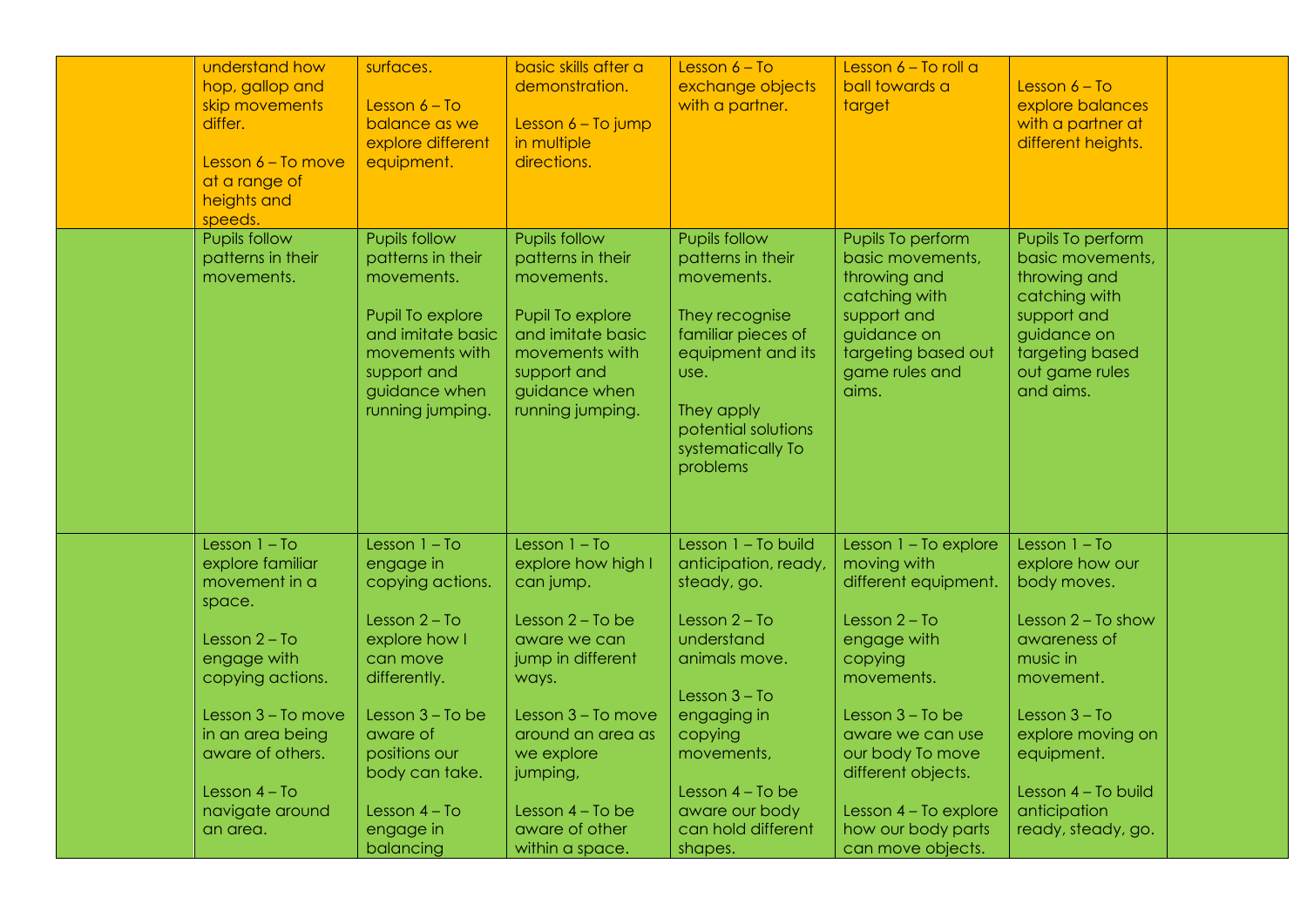| understand how<br>hop, gallop and<br>skip movements<br>differ.<br>Lesson $6 - To move$<br>at a range of<br>heights and<br>speeds.                                                  | surfaces.<br>Lesson $6 - To$<br>balance as we<br>explore different<br>equipment.                                                                                                      | basic skills after a<br>demonstration.<br>Lesson $6 - To jump$<br>in multiple<br>directions.                                                                                                | Lesson $6 - To$<br>exchange objects<br>with a partner.                                                                                                                                             | Lesson $6 - To$ roll a<br>ball towards a<br>target                                                                                                                                                            | Lesson $6 - To$<br>explore balances<br>with a partner at<br>different heights.                                                                                           |  |
|------------------------------------------------------------------------------------------------------------------------------------------------------------------------------------|---------------------------------------------------------------------------------------------------------------------------------------------------------------------------------------|---------------------------------------------------------------------------------------------------------------------------------------------------------------------------------------------|----------------------------------------------------------------------------------------------------------------------------------------------------------------------------------------------------|---------------------------------------------------------------------------------------------------------------------------------------------------------------------------------------------------------------|--------------------------------------------------------------------------------------------------------------------------------------------------------------------------|--|
| <b>Pupils follow</b><br>patterns in their<br>movements.                                                                                                                            | <b>Pupils follow</b><br>patterns in their<br>movements.<br>Pupil To explore<br>and imitate basic<br>movements with<br>support and<br>guidance when<br>running jumping.                | Pupils follow<br>patterns in their<br>movements.<br>Pupil To explore<br>and imitate basic<br>movements with<br>support and<br>guidance when<br>running jumping.                             | <b>Pupils follow</b><br>patterns in their<br>movements.<br>They recognise<br>familiar pieces of<br>equipment and its<br>use.<br>They apply<br>potential solutions<br>systematically To<br>problems | Pupils To perform<br>basic movements,<br>throwing and<br>catching with<br>support and<br>guidance on<br>targeting based out<br>game rules and<br>aims.                                                        | Pupils To perform<br>basic movements,<br>throwing and<br>catching with<br>support and<br>guidance on<br>targeting based<br>out game rules<br>and aims.                   |  |
| Lesson $1 - To$<br>explore familiar<br>movement in a<br>space.<br>Lesson $2 - To$<br>engage with<br>copying actions.<br>Lesson 3 - To move<br>in an area being<br>aware of others. | Lesson $1 - To$<br>engage in<br>copying actions.<br>Lesson $2 - To$<br>explore how I<br>can move<br>differently.<br>Lesson $3 - To$ be<br>aware of<br>positions our<br>body can take. | Lesson $1 - To$<br>explore how high I<br>can jump.<br>Lesson $2 - To$ be<br>aware we can<br>jump in different<br>ways.<br>Lesson 3 - To move<br>around an area as<br>we explore<br>jumping, | Lesson 1 - To build<br>anticipation, ready,<br>steady, go.<br>Lesson $2 - To$<br>understand<br>animals move.<br>Lesson $3 - To$<br>engaging in<br>copying<br>movements,                            | Lesson $1 - To explore$<br>moving with<br>different equipment.<br>Lesson $2 - To$<br>engage with<br>copying<br>movements.<br>Lesson $3 - To$ be<br>aware we can use<br>our body To move<br>different objects. | Lesson $1 - To$<br>explore how our<br>body moves.<br>Lesson $2 - To show$<br>awareness of<br>music in<br>movement.<br>Lesson $3 - To$<br>explore moving on<br>equipment. |  |
| Lesson $4 - To$<br>navigate around<br>an area.                                                                                                                                     | Lesson $4 - To$<br>engage in<br>balancing                                                                                                                                             | Lesson 4 - To be<br>aware of other<br>within a space.                                                                                                                                       | Lesson $4 - To$ be<br>aware our body<br>can hold different<br>shapes.                                                                                                                              | Lesson 4 - To explore<br>how our body parts<br>can move objects.                                                                                                                                              | Lesson 4 - To build<br>anticipation<br>ready, steady, go.                                                                                                                |  |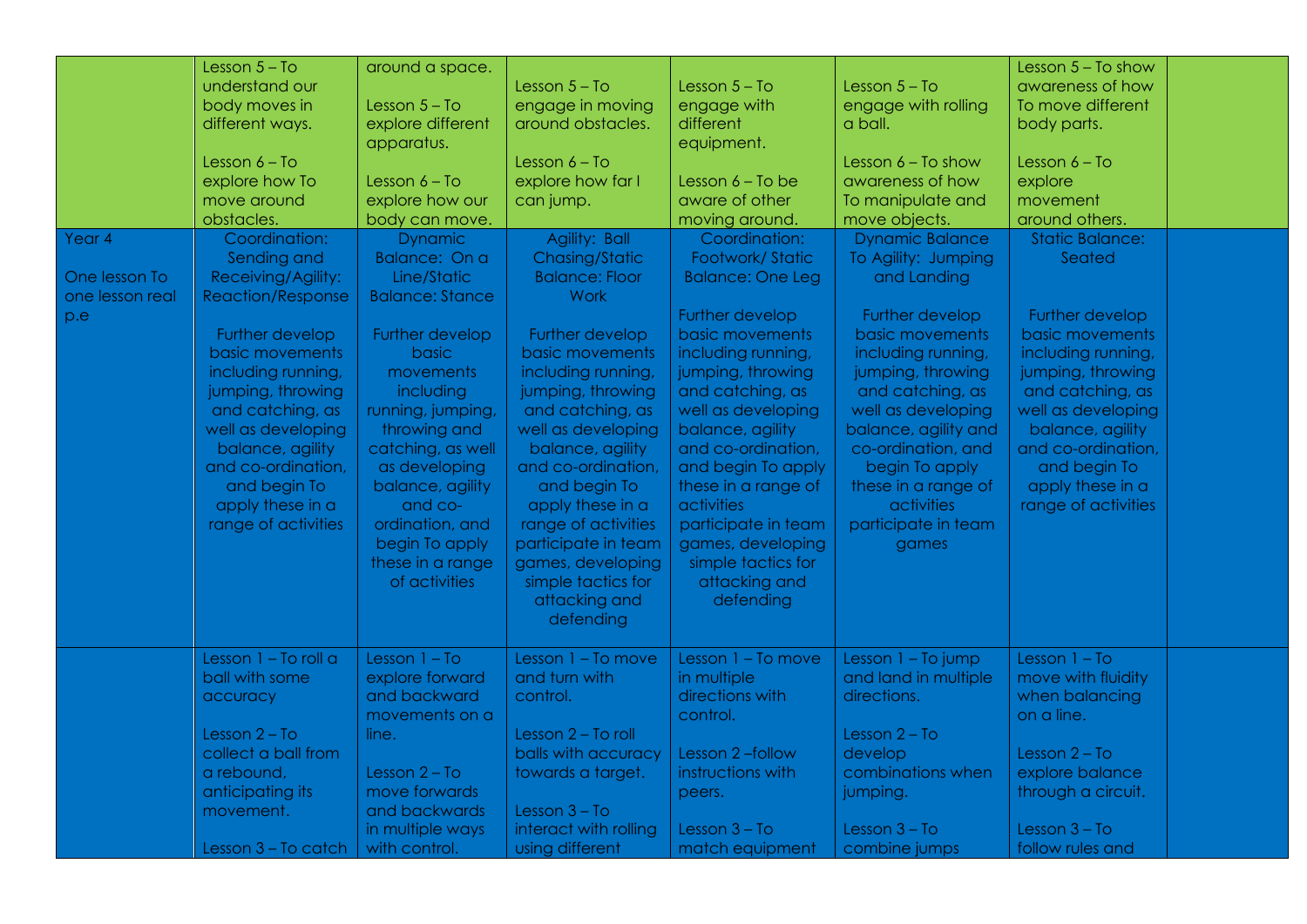| Year 4<br>One lesson To<br>one lesson real<br>p.e | Lesson $5 - To$<br>understand our<br>body moves in<br>different ways.<br>Lesson 6 – To<br>explore how To<br>move around<br>obstacles.<br>Coordination:<br>Sending and<br>Receiving/Agility:<br><b>Reaction/Response</b><br>Further develop<br>basic movements<br>including running,<br>jumping, throwing<br>and catching, as<br>well as developing<br>balance, agility<br>and co-ordination,<br>and begin To<br>apply these in a<br>range of activities | around a space.<br>Lesson $5 - To$<br>explore different<br>apparatus.<br>Lesson $6 - To$<br>explore how our<br>body can move.<br><b>Dynamic</b><br>Balance: On a<br>Line/Static<br><b>Balance: Stance</b><br>Further develop<br>basic<br>movements<br>including<br>running, jumping,<br>throwing and<br>catching, as well<br>as developing<br>balance, agility<br>and co-<br>ordination, and<br>begin To apply<br>these in a range<br>of activities | Lesson $5 - To$<br>engage in moving<br>around obstacles.<br>Lesson $6 - To$<br>explore how far I<br>can jump.<br>Agility: Ball<br>Chasing/Static<br><b>Balance: Floor</b><br>Work<br>Further develop<br>basic movements<br>including running,<br>jumping, throwing<br>and catching, as<br>well as developing<br>balance, agility<br>and co-ordination,<br>and begin To<br>apply these in a<br>range of activities<br>participate in team<br>games, developing<br>simple tactics for<br>attacking and<br>defending | Lesson $5 - To$<br>engage with<br>different<br>equipment.<br>Lesson $6 - To$ be<br>aware of other<br>moving around.<br>Coordination:<br>Footwork/Static<br><b>Balance: One Leg</b><br>Further develop<br>basic movements<br>including running,<br>jumping, throwing<br>and catching, as<br>well as developing<br>balance, agility<br>and co-ordination,<br>and begin To apply<br>these in a range of<br>activities<br>participate in team<br>games, developing<br>simple tactics for<br>attacking and<br>defending | Lesson $5 - To$<br>engage with rolling<br>a ball.<br>Lesson $6 - To show$<br>awareness of how<br>To manipulate and<br>move objects.<br><b>Dynamic Balance</b><br>To Agility: Jumping<br>and Landing<br>Further develop<br>basic movements<br>including running,<br>jumping, throwing<br>and catching, as<br>well as developing<br>balance, agility and<br>co-ordination, and<br>begin To apply<br>these in a range of<br>activities<br>participate in team<br>games | Lesson $5 - To show$<br>awareness of how<br>To move different<br>body parts.<br>Lesson $6 - To$<br>explore<br>movement<br>around others.<br><b>Static Balance:</b><br>Seated<br>Further develop<br>basic movements<br>including running,<br>jumping, throwing<br>and catching, as<br>well as developing<br>balance, agility<br>and co-ordination,<br>and begin To<br>apply these in a<br>range of activities |  |
|---------------------------------------------------|---------------------------------------------------------------------------------------------------------------------------------------------------------------------------------------------------------------------------------------------------------------------------------------------------------------------------------------------------------------------------------------------------------------------------------------------------------|-----------------------------------------------------------------------------------------------------------------------------------------------------------------------------------------------------------------------------------------------------------------------------------------------------------------------------------------------------------------------------------------------------------------------------------------------------|-------------------------------------------------------------------------------------------------------------------------------------------------------------------------------------------------------------------------------------------------------------------------------------------------------------------------------------------------------------------------------------------------------------------------------------------------------------------------------------------------------------------|--------------------------------------------------------------------------------------------------------------------------------------------------------------------------------------------------------------------------------------------------------------------------------------------------------------------------------------------------------------------------------------------------------------------------------------------------------------------------------------------------------------------|---------------------------------------------------------------------------------------------------------------------------------------------------------------------------------------------------------------------------------------------------------------------------------------------------------------------------------------------------------------------------------------------------------------------------------------------------------------------|--------------------------------------------------------------------------------------------------------------------------------------------------------------------------------------------------------------------------------------------------------------------------------------------------------------------------------------------------------------------------------------------------------------|--|
|                                                   | Lesson 1 - To roll a<br>ball with some<br>accuracy<br>Lesson $2 - To$<br>collect a ball from<br>a rebound,<br>anticipating its<br>movement.<br>Lesson 3 - To catch                                                                                                                                                                                                                                                                                      | Lesson $1 - To$<br>explore forward<br>and backward<br>movements on a<br>line.<br>Lesson $2 - To$<br>move forwards<br>and backwards<br>in multiple ways<br>with control.                                                                                                                                                                                                                                                                             | Lesson 1 - To move<br>and turn with<br>control.<br>Lesson 2 - To roll<br>balls with accuracy<br>towards a target.<br>Lesson $3 - To$<br>interact with rolling<br>using different                                                                                                                                                                                                                                                                                                                                  | Lesson $1 - To move$<br>in multiple<br>directions with<br>control.<br>Lesson 2-follow<br>instructions with<br>peers.<br>Lesson $3 - To$<br>match equipment                                                                                                                                                                                                                                                                                                                                                         | Lesson $1 - To jump$<br>and land in multiple<br>directions.<br>Lesson $2 - To$<br>develop<br>combinations when<br>jumping.<br>Lesson $3 - To$<br>combine jumps                                                                                                                                                                                                                                                                                                      | Lesson $1 - To$<br>move with fluidity<br>when balancing<br>on a line.<br>Lesson $2 - To$<br>explore balance<br>through a circuit.<br>Lesson $3 - To$<br>follow rules and                                                                                                                                                                                                                                     |  |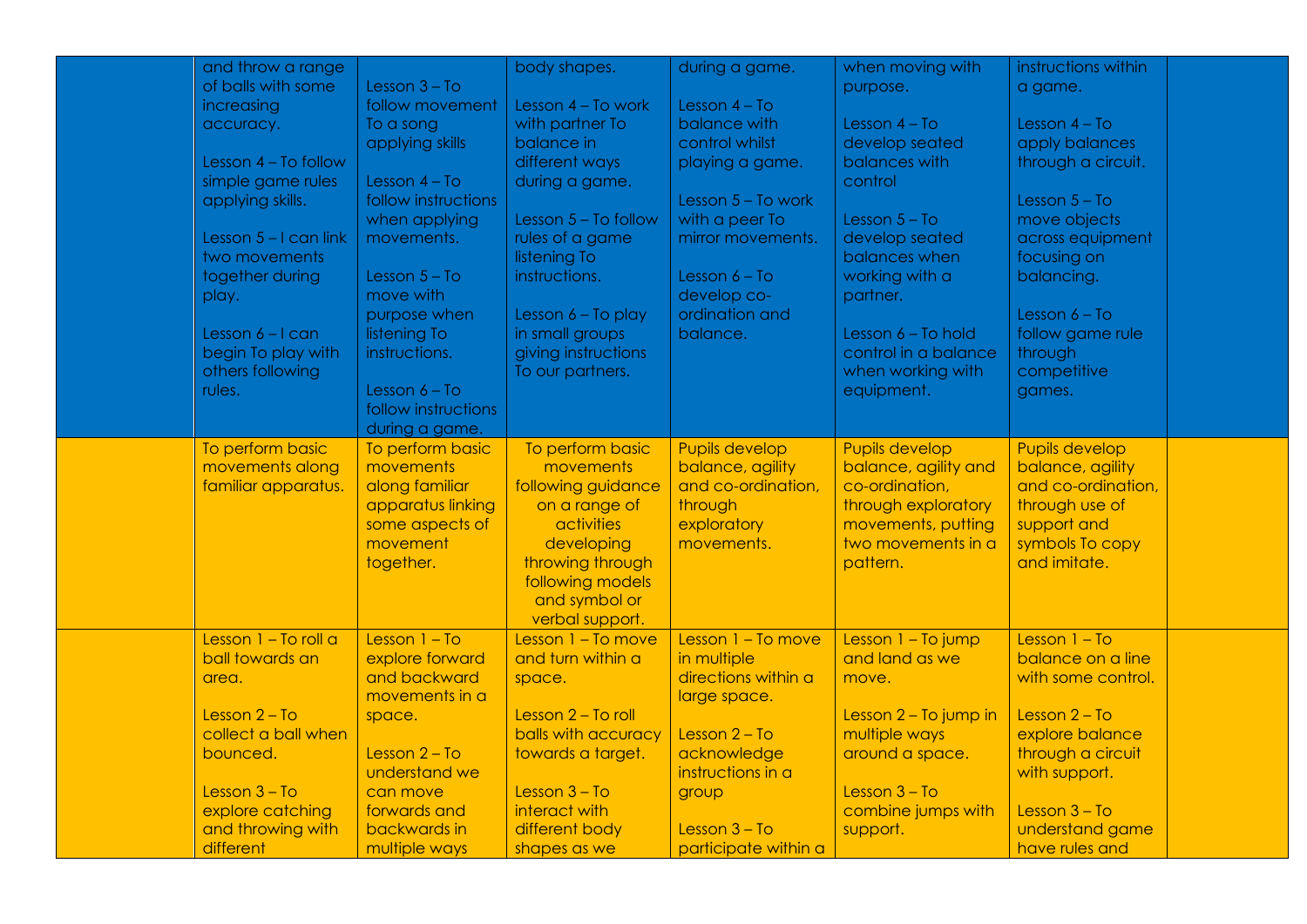| and throw a range       |                     | body shapes.         | during a game.        | when moving with      | instructions within   |  |
|-------------------------|---------------------|----------------------|-----------------------|-----------------------|-----------------------|--|
| of balls with some      | Lesson $3 - To$     |                      |                       | purpose.              | a game.               |  |
| increasing              | follow movement     | Lesson 4 - To work   | Lesson $4 - To$       |                       |                       |  |
| accuracy.               | To a song           | with partner To      | balance with          | Lesson $4 - To$       | Lesson $4 - To$       |  |
|                         | applying skills     | balance in           | control whilst        | develop seated        | apply balances        |  |
| Lesson $4 - To follow$  |                     | different ways       |                       | balances with         | through a circuit.    |  |
|                         |                     |                      | playing a game.       |                       |                       |  |
| simple game rules       | Lesson $4 - To$     | during a game.       |                       | control               |                       |  |
| applying skills.        | follow instructions |                      | Lesson $5 - To work$  |                       | Lesson $5 - To$       |  |
|                         | when applying       | Lesson 5 - To follow | with a peer To        | Lesson $5 - To$       | move objects          |  |
| Lesson $5 - 1$ can link | movements.          | rules of a game      | mirror movements.     | develop seated        | across equipment      |  |
| two movements           |                     | listening To         |                       | balances when         | focusing on           |  |
| together during         | Lesson $5 - To$     | instructions.        | Lesson $6 - To$       | working with a        | balancing.            |  |
| play.                   | move with           |                      | develop co-           | partner.              |                       |  |
|                         | purpose when        | Lesson 6 - To play   | ordination and        |                       | Lesson $6 - To$       |  |
| Lesson $6 - 1$ can      | listening To        | in small groups      | balance.              | Lesson 6 - To hold    | follow game rule      |  |
| begin To play with      | instructions.       | giving instructions  |                       | control in a balance  | through               |  |
| others following        |                     | To our partners.     |                       | when working with     | competitive           |  |
| rules.                  | Lesson $6 - To$     |                      |                       | equipment.            | games.                |  |
|                         | follow instructions |                      |                       |                       |                       |  |
|                         | during a game.      |                      |                       |                       |                       |  |
| To perform basic        | To perform basic    | To perform basic     | <b>Pupils develop</b> | <b>Pupils develop</b> | <b>Pupils develop</b> |  |
| movements along         | movements           | movements            | balance, agility      | balance, agility and  | balance, agility      |  |
| familiar apparatus.     | along familiar      | following guidance   | and co-ordination,    | co-ordination,        | and co-ordination,    |  |
|                         | apparatus linking   | on a range of        | through               | through exploratory   | through use of        |  |
|                         | some aspects of     | activities           | exploratory           | movements, putting    | support and           |  |
|                         | movement            | developing           | movements.            | two movements in a    | symbols To copy       |  |
|                         | together.           | throwing through     |                       | pattern.              | and imitate.          |  |
|                         |                     | following models     |                       |                       |                       |  |
|                         |                     | and symbol or        |                       |                       |                       |  |
|                         |                     | verbal support.      |                       |                       |                       |  |
| Lesson 1 - To roll a    | Lesson $1 - To$     | Lesson 1 - To move   | Lesson 1 - To move    | Lesson 1 - To jump    | Lesson $1 - To$       |  |
| ball towards an         | explore forward     | and turn within a    | in multiple           | and land as we        | balance on a line     |  |
| area.                   | and backward        | space.               | directions within a   | move.                 | with some control.    |  |
|                         | movements in a      |                      | large space.          |                       |                       |  |
| Lesson $2 - To$         | space.              | Lesson 2 - To roll   |                       | Lesson 2 - To jump in | Lesson $2 - To$       |  |
| collect a ball when     |                     | balls with accuracy  | Lesson $2 - To$       | multiple ways         | explore balance       |  |
| bounced.                | Lesson $2 - To$     | towards a target.    | acknowledge           | around a space.       | through a circuit     |  |
|                         | understand we       |                      | instructions in a     |                       | with support.         |  |
| Lesson $3 - To$         | can move            | Lesson $3 - To$      | group                 | Lesson $3 - To$       |                       |  |
| explore catching        | forwards and        | interact with        |                       | combine jumps with    | Lesson $3 - To$       |  |
| and throwing with       | backwards in        | different body       | Lesson $3 - To$       | support.              | understand game       |  |
| different               | multiple ways       | shapes as we         | participate within a  |                       | have rules and        |  |
|                         |                     |                      |                       |                       |                       |  |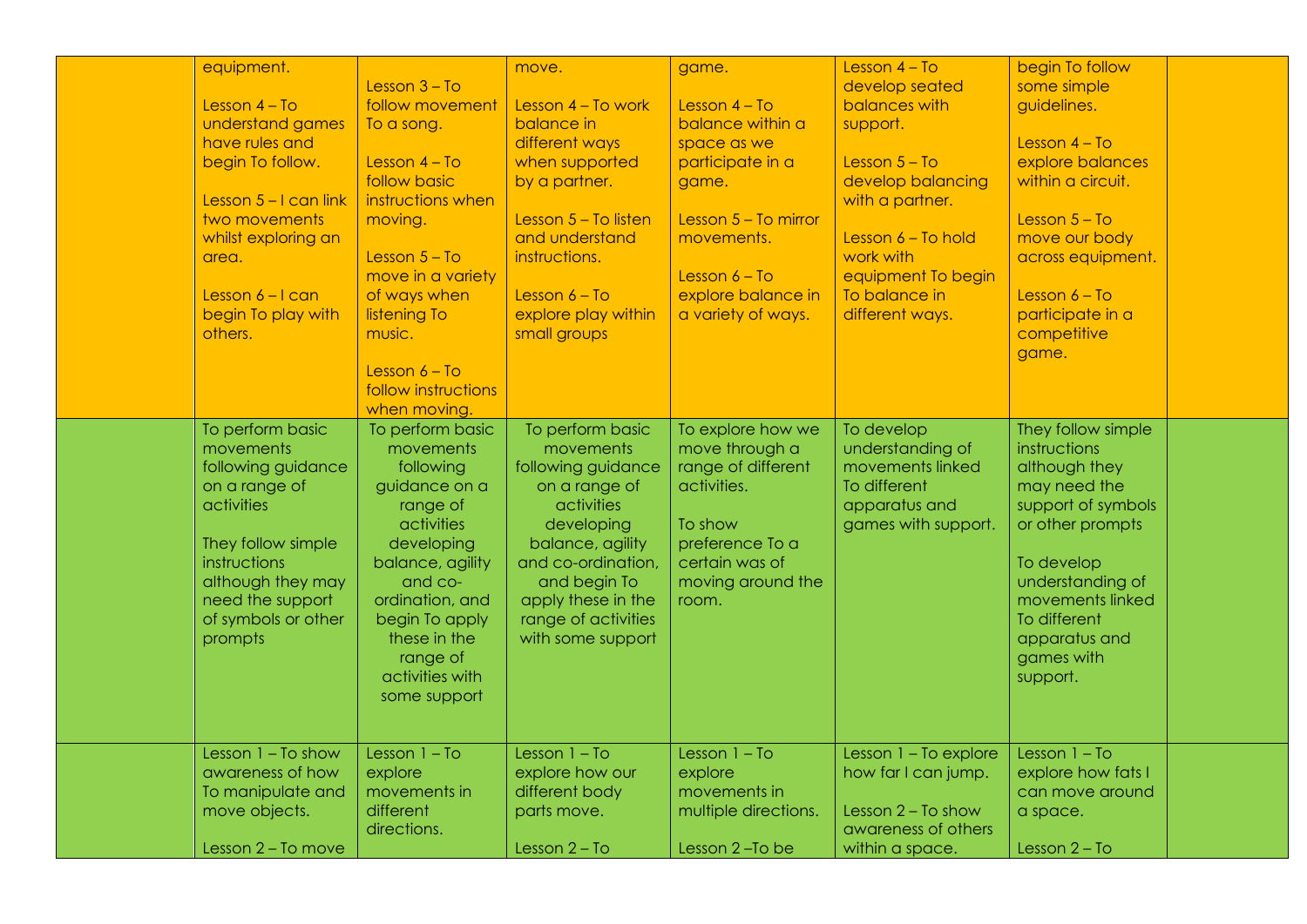| equipment.<br>Lesson $4 - To$<br>understand games<br>have rules and<br>begin To follow.<br>Lesson $5 - I$ can link<br>two movements<br>whilst exploring an<br>area.<br>Lesson $6 - 1$ can<br>begin To play with<br>others. | Lesson $3 - To$<br>follow movement<br>To a song.<br>Lesson $4 - To$<br>follow basic<br>instructions when<br>moving.<br>Lesson $5 - To$<br>move in a variety<br>of ways when<br>listening To<br>music.<br>Lesson $6 - To$<br>follow instructions<br>when moving. | move.<br>Lesson 4 - To work<br>balance in<br>different ways<br>when supported<br>by a partner.<br>Lesson 5 - To listen<br>and understand<br>instructions.<br>Lesson $6 - To$<br>explore play within<br>small groups          | game.<br>Lesson $4 - To$<br>balance within a<br>space as we<br>participate in a<br>game.<br>Lesson $5 - To$ mirror<br>movements.<br>Lesson $6 - To$<br>explore balance in<br>a variety of ways. | Lesson $4 - To$<br>develop seated<br>balances with<br>support.<br>Lesson $5 - To$<br>develop balancing<br>with a partner.<br>Lesson $6$ – To hold<br>work with<br>equipment To begin<br>To balance in<br>different ways. | begin To follow<br>some simple<br>guidelines.<br>Lesson $4 - To$<br>explore balances<br>within a circuit.<br>Lesson $5 - To$<br>move our body<br>across equipment.<br>Lesson $6 - To$<br>participate in a<br>competitive<br>game. |  |
|----------------------------------------------------------------------------------------------------------------------------------------------------------------------------------------------------------------------------|-----------------------------------------------------------------------------------------------------------------------------------------------------------------------------------------------------------------------------------------------------------------|------------------------------------------------------------------------------------------------------------------------------------------------------------------------------------------------------------------------------|-------------------------------------------------------------------------------------------------------------------------------------------------------------------------------------------------|--------------------------------------------------------------------------------------------------------------------------------------------------------------------------------------------------------------------------|-----------------------------------------------------------------------------------------------------------------------------------------------------------------------------------------------------------------------------------|--|
| To perform basic<br>movements<br>following guidance<br>on a range of<br>activities<br>They follow simple<br>instructions<br>although they may<br>need the support<br>of symbols or other<br>prompts                        | To perform basic<br>movements<br>following<br>guidance on a<br>range of<br>activities<br>developing<br>balance, agility<br>and co-<br>ordination, and<br>begin To apply<br>these in the<br>range of<br>activities with<br>some support                          | To perform basic<br>movements<br>following guidance<br>on a range of<br>activities<br>developing<br>balance, agility<br>and co-ordination,<br>and begin To<br>apply these in the<br>range of activities<br>with some support | To explore how we<br>move through a<br>range of different<br>activities.<br>To show<br>preference To a<br>certain was of<br>moving around the<br>room.                                          | To develop<br>understanding of<br>movements linked<br>To different<br>apparatus and<br>games with support.                                                                                                               | They follow simple<br>instructions<br>although they<br>may need the<br>support of symbols<br>or other prompts<br>To develop<br>understanding of<br>movements linked<br>To different<br>apparatus and<br>games with<br>support.    |  |
| Lesson $1 - To show$<br>awareness of how<br>To manipulate and<br>move objects.<br>Lesson 2 - To move                                                                                                                       | Lesson $1 - To$<br>explore<br>movements in<br>different<br>directions.                                                                                                                                                                                          | Lesson $1 - To$<br>explore how our<br>different body<br>parts move.<br>Lesson $2 - To$                                                                                                                                       | Lesson $1 - To$<br>explore<br>movements in<br>multiple directions.<br>Lesson 2-To be                                                                                                            | Lesson 1 - To explore<br>how far I can jump.<br>Lesson $2 - To show$<br>awareness of others<br>within a space.                                                                                                           | Lesson $1 - To$<br>explore how fats I<br>can move around<br>a space.<br>Lesson $2 - To$                                                                                                                                           |  |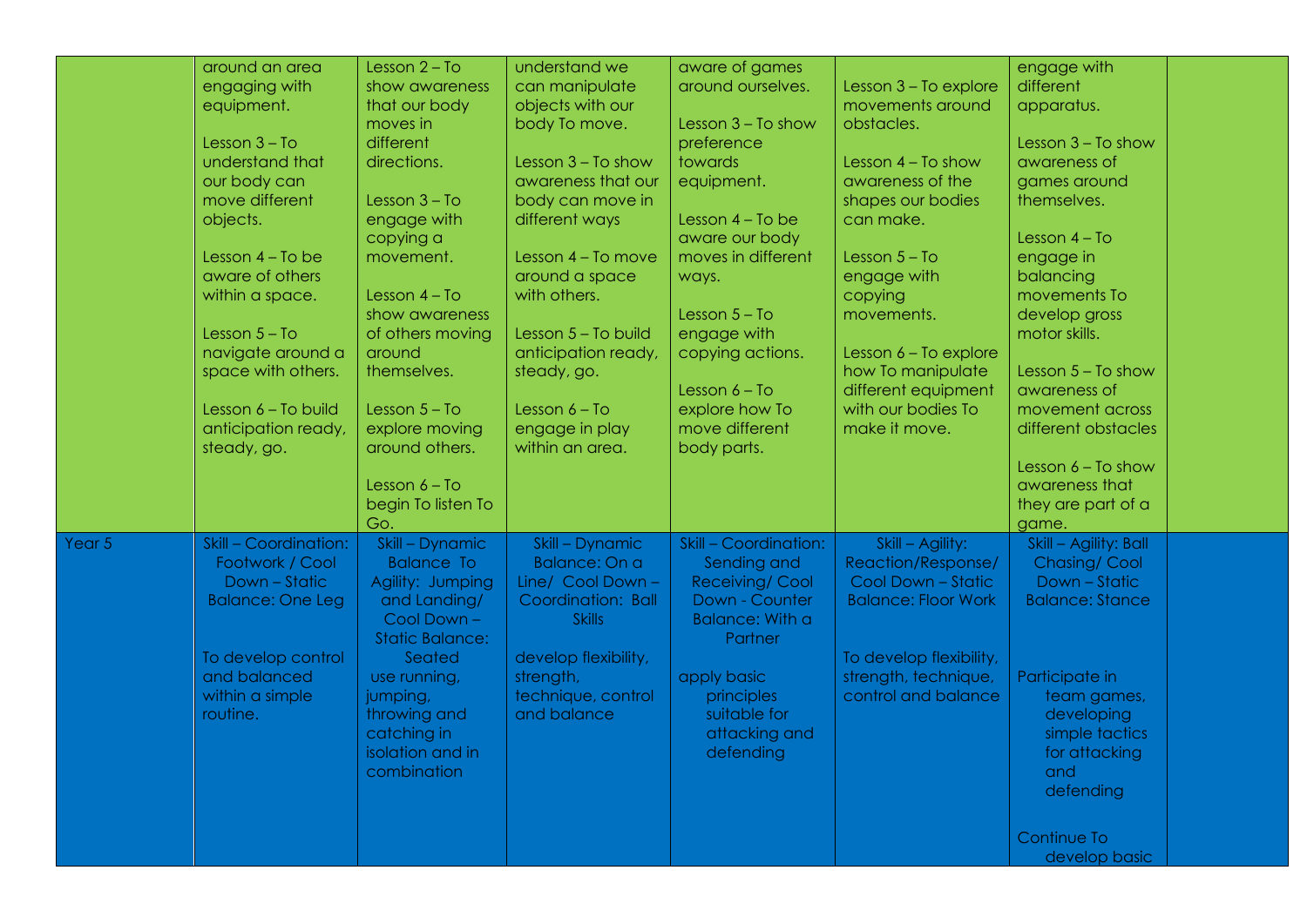| around an area                  | Lesson $2 - To$        | understand we        |                        |                            |                          |  |
|---------------------------------|------------------------|----------------------|------------------------|----------------------------|--------------------------|--|
|                                 | show awareness         |                      | aware of games         |                            | engage with<br>different |  |
| engaging with                   |                        | can manipulate       | around ourselves.      | Lesson 3 - To explore      |                          |  |
| equipment.                      | that our body          | objects with our     |                        | movements around           | apparatus.               |  |
|                                 | moves in               | body To move.        | Lesson $3 - To show$   | obstacles.                 |                          |  |
| Lesson $3 - To$                 | different              |                      | preference             |                            | Lesson $3 - To show$     |  |
| understand that                 | directions.            | Lesson $3 - To show$ | towards                | Lesson $4 - To show$       | awareness of             |  |
| our body can                    |                        | awareness that our   | equipment.             | awareness of the           | games around             |  |
| move different                  | Lesson $3 - To$        | body can move in     |                        | shapes our bodies          | themselves.              |  |
| objects.                        | engage with            | different ways       | Lesson $4 - To$ be     | can make.                  |                          |  |
|                                 | copying a              |                      | aware our body         |                            | Lesson $4 - To$          |  |
| Lesson 4 - To be                | movement.              | Lesson 4 - To move   | moves in different     | Lesson $5 - To$            | engage in                |  |
| aware of others                 |                        | around a space       | ways.                  | engage with                | balancing                |  |
| within a space.                 | Lesson $4 - To$        | with others.         |                        | copying                    | movements To             |  |
|                                 | show awareness         |                      | Lesson $5 - To$        | movements.                 | develop gross            |  |
| Lesson $5 - To$                 | of others moving       | Lesson 5 - To build  | engage with            |                            | motor skills.            |  |
| navigate around a               | around                 | anticipation ready,  | copying actions.       | Lesson 6 - To explore      |                          |  |
| space with others.              | themselves.            | steady, go.          |                        | how To manipulate          | Lesson $5 - To show$     |  |
|                                 |                        |                      | Lesson $6 - To$        | different equipment        | awareness of             |  |
| Lesson 6 - To build             | Lesson $5 - To$        | Lesson $6 - To$      | explore how To         | with our bodies To         | movement across          |  |
| anticipation ready,             | explore moving         | engage in play       | move different         | make it move.              | different obstacles      |  |
| steady, go.                     | around others.         | within an area.      | body parts.            |                            |                          |  |
|                                 |                        |                      |                        |                            | Lesson $6 - To show$     |  |
|                                 | Lesson $6 - To$        |                      |                        |                            | awareness that           |  |
|                                 | begin To listen To     |                      |                        |                            | they are part of a       |  |
|                                 | Go.                    |                      |                        |                            | game.                    |  |
| Skill - Coordination:<br>Year 5 | Skill - Dynamic        | Skill - Dynamic      | Skill - Coordination:  | Skill - Agility:           | Skill - Agility: Ball    |  |
| Footwork / Cool                 | <b>Balance To</b>      | Balance: On a        | Sending and            | Reaction/Response/         | <b>Chasing/Cool</b>      |  |
| Down - Static                   | Agility: Jumping       | Line/ Cool Down -    | <b>Receiving/Cool</b>  | Cool Down - Static         | Down - Static            |  |
| <b>Balance: One Leg</b>         | and Landing/           | Coordination: Ball   | Down - Counter         | <b>Balance: Floor Work</b> | <b>Balance: Stance</b>   |  |
|                                 | Cool Down-             | <b>Skills</b>        | <b>Balance: With a</b> |                            |                          |  |
|                                 | <b>Static Balance:</b> |                      | Partner                |                            |                          |  |
| To develop control              | Seated                 | develop flexibility, |                        | To develop flexibility,    |                          |  |
| and balanced                    | use running,           | strength,            | apply basic            | strength, technique,       | Participate in           |  |
| within a simple                 | jumping,               | technique, control   | principles             | control and balance        | team games,              |  |
| routine.                        | throwing and           | and balance          | suitable for           |                            | developing               |  |
|                                 | catching in            |                      | attacking and          |                            | simple tactics           |  |
|                                 | isolation and in       |                      | defending              |                            | for attacking            |  |
|                                 | combination            |                      |                        |                            | and                      |  |
|                                 |                        |                      |                        |                            | defending                |  |
|                                 |                        |                      |                        |                            |                          |  |
|                                 |                        |                      |                        |                            |                          |  |
|                                 |                        |                      |                        |                            | Continue To              |  |
|                                 |                        |                      |                        |                            | develop basic            |  |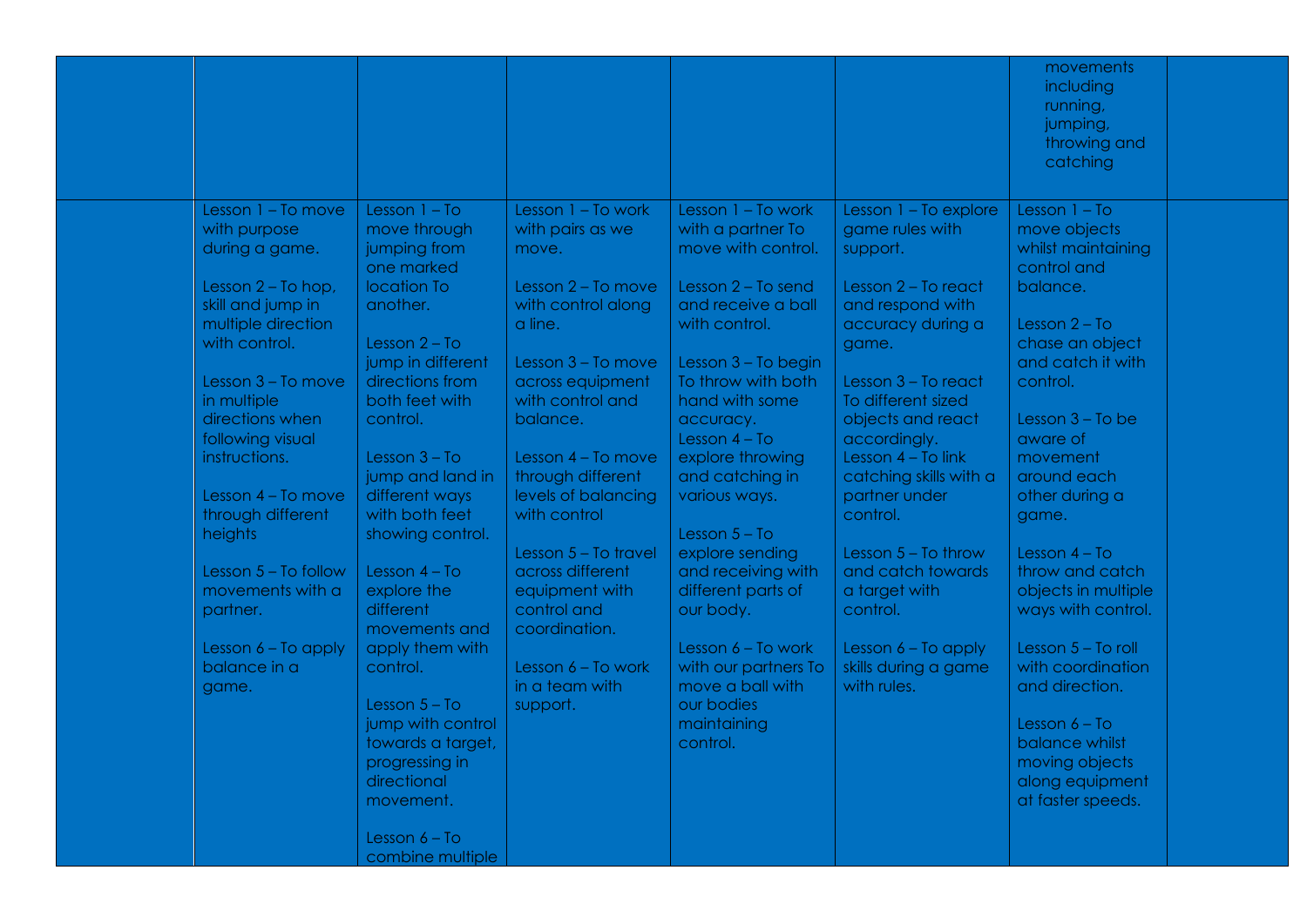| Lesson $1 - To$<br>Lesson 1 - To work<br>Lesson $1 - To$<br>Lesson 1 - To move<br>Lesson 1 - To work<br>Lesson 1 - To explore<br>with a partner To<br>with purpose<br>move through<br>with pairs as we<br>game rules with<br>move objects<br>move with control.<br>jumping from<br>whilst maintaining<br>during a game.<br>support.<br>move.<br>control and<br>one marked<br>location To<br>Lesson 2 - To move<br>Lesson 2 - To send<br>Lesson 2 - To react<br>balance.<br>Lesson 2 - To hop,<br>skill and jump in<br>with control along<br>and receive a ball<br>another.<br>and respond with<br>multiple direction<br>a line.<br>with control.<br>accuracy during a<br>Lesson $2 - To$<br>with control.<br>chase an object<br>Lesson $2 - To$<br>game.<br>jump in different<br>and catch it with<br>Lesson 3 - To move<br>Lesson 3 - To begin<br>directions from<br>To throw with both<br>Lesson 3 - To move<br>across equipment<br>Lesson 3 - To react<br>control.<br>in multiple<br>both feet with<br>with control and<br>hand with some<br>To different sized<br>directions when<br>control.<br>balance.<br>objects and react<br>Lesson $3 - To$ be<br>accuracy.<br>following visual<br>Lesson $4 - To$<br>accordingly.<br>aware of<br>Lesson $4 - To$ link<br>Lesson $3 - To$<br>Lesson 4 - To move<br>explore throwing<br>movement<br>instructions.<br>jump and land in<br>through different<br>catching skills with a<br>and catching in<br>around each<br>different ways<br>levels of balancing<br>various ways.<br>partner under<br>Lesson 4 - To move<br>other during a<br>through different<br>with both feet<br>with control<br>control.<br>game.<br>showing control.<br>Lesson $5 - To$<br>heights<br>explore sending<br>Lesson 5 - To travel<br>Lesson $5 - To throw$<br>Lesson $4 - To$<br>Lesson $5 - To follow$<br>Lesson $4 - To$<br>across different<br>and receiving with<br>and catch towards<br>throw and catch<br>equipment with<br>different parts of<br>a target with<br>objects in multiple<br>movements with a<br>explore the<br>different<br>control and<br>our body.<br>control.<br>ways with control.<br>partner.<br>coordination.<br>movements and<br>Lesson $6 - To work$<br>Lesson 6 - To apply<br>apply them with<br>Lesson 6 - To apply<br>Lesson 5 - To roll<br>balance in a<br>Lesson 6 - To work<br>with our partners To<br>skills during a game<br>with coordination<br>control.<br>in a team with<br>move a ball with<br>with rules.<br>and direction.<br>game.<br>Lesson $5 - To$<br>our bodies<br>support.<br>jump with control<br>maintaining<br>Lesson $6 - To$<br>towards a target,<br>control.<br>balance whilst<br>moving objects<br>progressing in<br>directional<br>along equipment<br>at faster speeds.<br>movement.<br>Lesson $6 - To$<br>combine multiple |  |  |  | movements<br>including<br>running,<br>jumping,<br>throwing and<br>catching |  |
|----------------------------------------------------------------------------------------------------------------------------------------------------------------------------------------------------------------------------------------------------------------------------------------------------------------------------------------------------------------------------------------------------------------------------------------------------------------------------------------------------------------------------------------------------------------------------------------------------------------------------------------------------------------------------------------------------------------------------------------------------------------------------------------------------------------------------------------------------------------------------------------------------------------------------------------------------------------------------------------------------------------------------------------------------------------------------------------------------------------------------------------------------------------------------------------------------------------------------------------------------------------------------------------------------------------------------------------------------------------------------------------------------------------------------------------------------------------------------------------------------------------------------------------------------------------------------------------------------------------------------------------------------------------------------------------------------------------------------------------------------------------------------------------------------------------------------------------------------------------------------------------------------------------------------------------------------------------------------------------------------------------------------------------------------------------------------------------------------------------------------------------------------------------------------------------------------------------------------------------------------------------------------------------------------------------------------------------------------------------------------------------------------------------------------------------------------------------------------------------------------------------------------------------------------------------------------------------------------------------------------------------------------------------------------------------------------------------------------------------------------------------------------------------------------------------|--|--|--|----------------------------------------------------------------------------|--|
|                                                                                                                                                                                                                                                                                                                                                                                                                                                                                                                                                                                                                                                                                                                                                                                                                                                                                                                                                                                                                                                                                                                                                                                                                                                                                                                                                                                                                                                                                                                                                                                                                                                                                                                                                                                                                                                                                                                                                                                                                                                                                                                                                                                                                                                                                                                                                                                                                                                                                                                                                                                                                                                                                                                                                                                                                |  |  |  |                                                                            |  |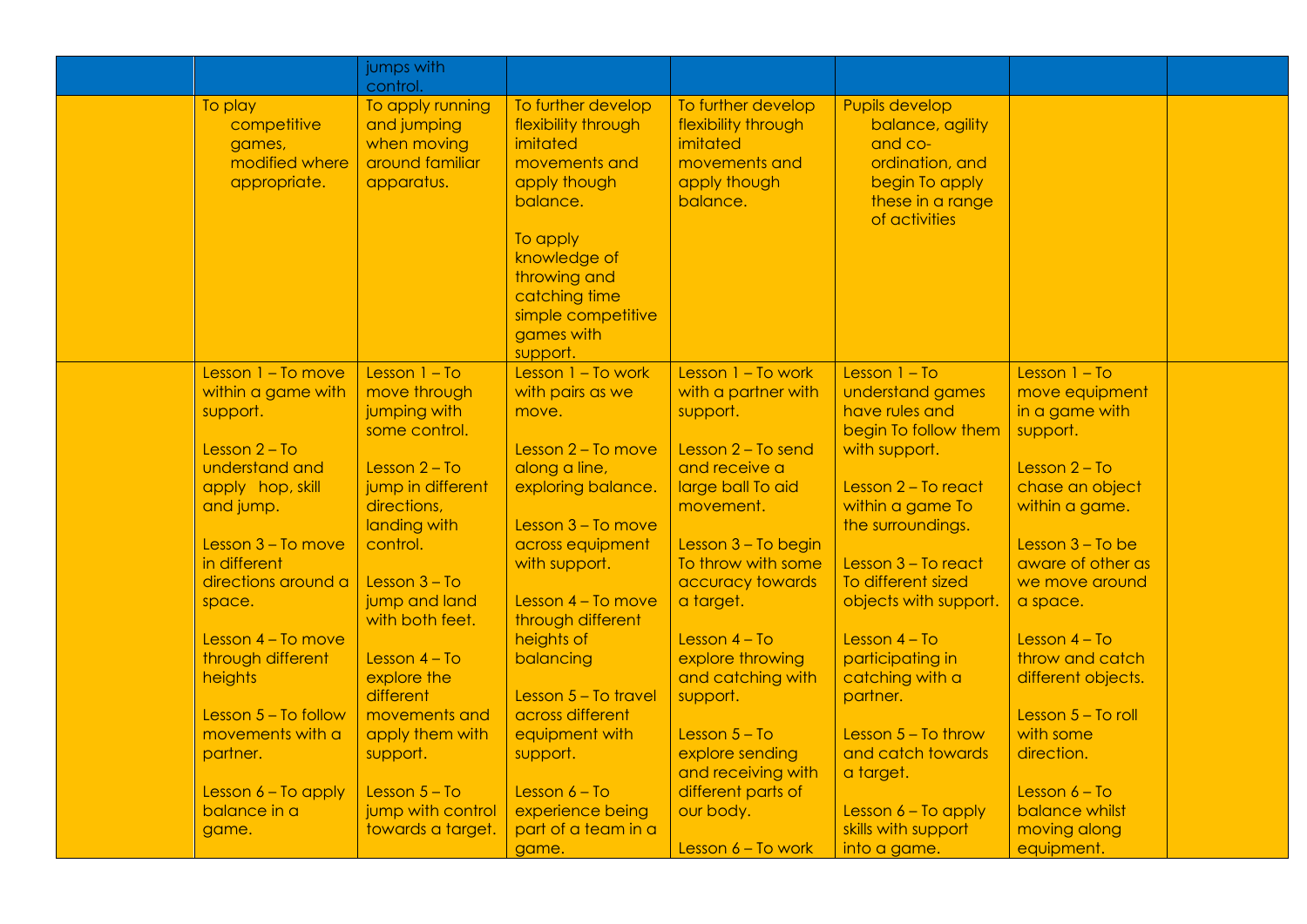|                                                                    | jumps with<br>control.                                                          |                                                                                                                                |                                                                                                    |                                                                                                                         |                                   |  |
|--------------------------------------------------------------------|---------------------------------------------------------------------------------|--------------------------------------------------------------------------------------------------------------------------------|----------------------------------------------------------------------------------------------------|-------------------------------------------------------------------------------------------------------------------------|-----------------------------------|--|
| To play<br>competitive<br>games,<br>modified where<br>appropriate. | To apply running<br>and jumping<br>when moving<br>around familiar<br>apparatus. | To further develop<br>flexibility through<br>imitated<br>movements and<br>apply though<br>balance.<br>To apply<br>knowledge of | To further develop<br>flexibility through<br>imitated<br>movements and<br>apply though<br>balance. | Pupils develop<br>balance, agility<br>and co-<br>ordination, and<br>begin To apply<br>these in a range<br>of activities |                                   |  |
|                                                                    |                                                                                 | throwing and<br>catching time<br>simple competitive<br>games with<br>support.                                                  |                                                                                                    |                                                                                                                         |                                   |  |
| Lesson $1 - To move$                                               | Lesson $1 - To$                                                                 | Lesson 1 - To work                                                                                                             | Lesson 1 - To work                                                                                 | Lesson $1 - To$                                                                                                         | Lesson $1 - To$                   |  |
| within a game with<br>support.                                     | move through<br>jumping with                                                    | with pairs as we<br>move.                                                                                                      | with a partner with<br>support.                                                                    | understand games<br>have rules and                                                                                      | move equipment<br>in a game with  |  |
|                                                                    | some control.                                                                   |                                                                                                                                |                                                                                                    | begin To follow them                                                                                                    | support.                          |  |
| Lesson $2 - To$                                                    |                                                                                 | Lesson $2 - To move$                                                                                                           | Lesson $2 - To send$                                                                               | with support.                                                                                                           |                                   |  |
| understand and                                                     | Lesson $2 - To$                                                                 | along a line,                                                                                                                  | and receive a                                                                                      |                                                                                                                         | Lesson $2 - To$                   |  |
| apply hop, skill<br>and jump.                                      | jump in different<br>directions,                                                | exploring balance.                                                                                                             | large ball To aid<br>movement.                                                                     | Lesson 2 - To react<br>within a game To                                                                                 | chase an object<br>within a game. |  |
|                                                                    | landing with                                                                    | Lesson $3 - To move$                                                                                                           |                                                                                                    | the surroundings.                                                                                                       |                                   |  |
| Lesson $3 - To move$                                               | control.                                                                        | across equipment                                                                                                               | Lesson $3 - To begin$                                                                              |                                                                                                                         | Lesson $3 - To$ be                |  |
| in different                                                       |                                                                                 | with support.                                                                                                                  | To throw with some                                                                                 | Lesson 3 - To react                                                                                                     | aware of other as                 |  |
| directions around a                                                | Lesson $3 - To$                                                                 |                                                                                                                                | accuracy towards                                                                                   | To different sized                                                                                                      | we move around                    |  |
| space.                                                             | jump and land<br>with both feet.                                                | Lesson 4 - To move<br>through different                                                                                        | a target.                                                                                          | objects with support.                                                                                                   | a space.                          |  |
| Lesson $4 - To move$                                               |                                                                                 | heights of                                                                                                                     | Lesson $4 - To$                                                                                    | Lesson $4 - To$                                                                                                         | Lesson $4 - To$                   |  |
| through different                                                  | Lesson $4 - To$                                                                 | balancing                                                                                                                      | explore throwing<br>and catching with                                                              | participating in<br>catching with a                                                                                     | throw and catch                   |  |
| heights                                                            | explore the<br>different                                                        | Lesson $5 - To$ travel                                                                                                         | support.                                                                                           | partner.                                                                                                                | different objects.                |  |
| Lesson $5 - To follow$                                             | movements and                                                                   | across different                                                                                                               |                                                                                                    |                                                                                                                         | Lesson 5 - To roll                |  |
| movements with a                                                   | apply them with                                                                 | equipment with                                                                                                                 | Lesson $5 - To$                                                                                    | Lesson $5 - To throw$                                                                                                   | with some                         |  |
| partner.                                                           | support.                                                                        | support.                                                                                                                       | explore sending                                                                                    | and catch towards                                                                                                       | direction.                        |  |
|                                                                    |                                                                                 |                                                                                                                                | and receiving with                                                                                 | a target.                                                                                                               |                                   |  |
| Lesson $6 - To$ apply                                              | Lesson $5 - To$                                                                 | Lesson $6 - To$                                                                                                                | different parts of                                                                                 |                                                                                                                         | Lesson $6 - To$                   |  |
| balance in a                                                       | jump with control<br>towards a target.                                          | experience being<br>part of a team in a                                                                                        | our body.                                                                                          | Lesson $6 - To apply$<br>skills with support                                                                            | balance whilst<br>moving along    |  |
| game.                                                              |                                                                                 | game.                                                                                                                          | Lesson $6 - To work$                                                                               | into a game.                                                                                                            | equipment.                        |  |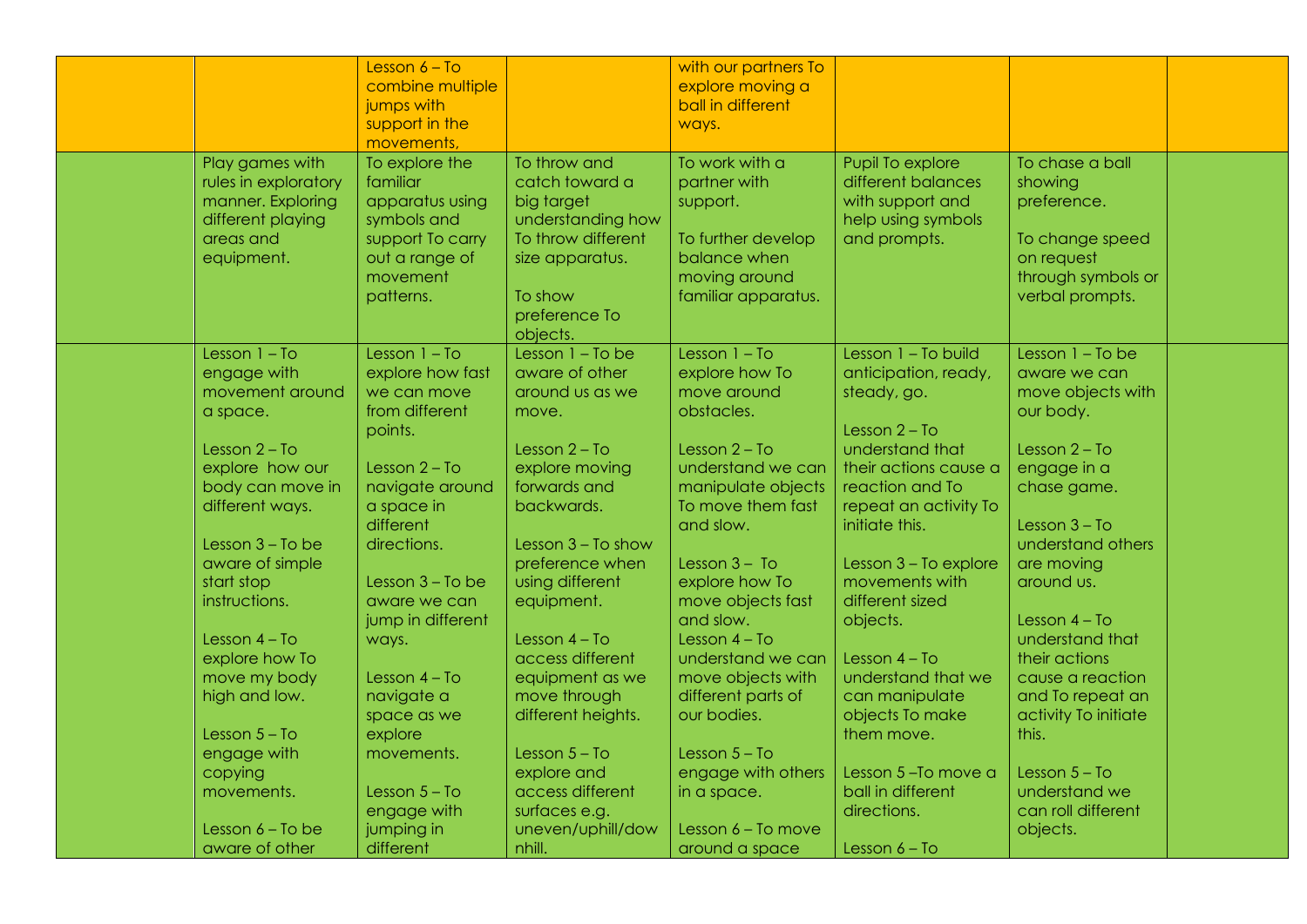| Play games with<br>rules in exploratory<br>manner. Exploring<br>different playing<br>areas and<br>equipment. | Lesson $6 - To$<br>combine multiple<br>jumps with<br>support in the<br>movements,<br>To explore the<br>familiar<br>apparatus using<br>symbols and<br>support To carry<br>out a range of<br>movement<br>patterns. | To throw and<br>catch toward a<br>big target<br>understanding how<br>To throw different<br>size apparatus.<br>To show<br>preference To | with our partners To<br>explore moving a<br>ball in different<br>ways.<br>To work with a<br>partner with<br>support.<br>To further develop<br>balance when<br>moving around<br>familiar apparatus. | Pupil To explore<br>different balances<br>with support and<br>help using symbols<br>and prompts.        | To chase a ball<br>showing<br>preference.<br>To change speed<br>on request<br>through symbols or<br>verbal prompts. |  |
|--------------------------------------------------------------------------------------------------------------|------------------------------------------------------------------------------------------------------------------------------------------------------------------------------------------------------------------|----------------------------------------------------------------------------------------------------------------------------------------|----------------------------------------------------------------------------------------------------------------------------------------------------------------------------------------------------|---------------------------------------------------------------------------------------------------------|---------------------------------------------------------------------------------------------------------------------|--|
|                                                                                                              |                                                                                                                                                                                                                  | objects.                                                                                                                               |                                                                                                                                                                                                    |                                                                                                         |                                                                                                                     |  |
| Lesson $1 - To$<br>engage with<br>movement around<br>a space.                                                | Lesson $1 - To$<br>explore how fast<br>we can move<br>from different                                                                                                                                             | Lesson $1 - To be$<br>aware of other<br>around us as we<br>move.                                                                       | Lesson $1 - To$<br>explore how To<br>move around<br>obstacles.                                                                                                                                     | Lesson $1 - To$ build<br>anticipation, ready,<br>steady, go.                                            | Lesson $1 - To be$<br>aware we can<br>move objects with<br>our body.                                                |  |
| Lesson $2 - To$<br>explore how our<br>body can move in<br>different ways.                                    | points.<br>Lesson $2 - To$<br>navigate around<br>a space in                                                                                                                                                      | Lesson $2 - To$<br>explore moving<br>forwards and<br>backwards.                                                                        | Lesson $2 - To$<br>understand we can<br>manipulate objects<br>To move them fast                                                                                                                    | Lesson $2 - To$<br>understand that<br>their actions cause a<br>reaction and To<br>repeat an activity To | Lesson $2 - To$<br>engage in a<br>chase game.                                                                       |  |
| Lesson $3 - To$ be<br>aware of simple<br>start stop                                                          | different<br>directions.<br>Lesson $3 - To$ be                                                                                                                                                                   | Lesson 3 - To show<br>preference when<br>using different                                                                               | and slow.<br>Lesson $3 - To$<br>explore how To                                                                                                                                                     | initiate this.<br>Lesson 3 - To explore<br>movements with                                               | Lesson $3 - To$<br>understand others<br>are moving<br>around us.                                                    |  |
| instructions.<br>Lesson $4 - To$<br>explore how To                                                           | aware we can<br>jump in different<br>ways.                                                                                                                                                                       | equipment.<br>Lesson $4 - To$<br>access different                                                                                      | move objects fast<br>and slow.<br>Lesson $4 - To$<br>understand we can                                                                                                                             | different sized<br>objects.<br>Lesson $4 - To$                                                          | Lesson $4 - To$<br>understand that<br>their actions                                                                 |  |
| move my body<br>high and low.                                                                                | Lesson $4 - To$<br>navigate a<br>space as we                                                                                                                                                                     | equipment as we<br>move through<br>different heights.                                                                                  | move objects with<br>different parts of<br>our bodies.                                                                                                                                             | understand that we<br>can manipulate<br>objects To make                                                 | cause a reaction<br>and To repeat an<br>activity To initiate                                                        |  |
| Lesson $5 - To$<br>engage with<br>copying<br>movements.                                                      | explore<br>movements.<br>Lesson $5 - To$<br>engage with                                                                                                                                                          | Lesson $5 - To$<br>explore and<br>access different<br>surfaces e.g.                                                                    | Lesson $5 - To$<br>engage with others<br>in a space.                                                                                                                                               | them move.<br>Lesson 5-To move a<br>ball in different<br>directions.                                    | this.<br>Lesson $5 - To$<br>understand we<br>can roll different                                                     |  |
| Lesson $6 - To$ be<br>aware of other                                                                         | jumping in<br>different                                                                                                                                                                                          | uneven/uphill/dow<br>nhill.                                                                                                            | Lesson $6 - To move$<br>around a space                                                                                                                                                             | Lesson $6 - To$                                                                                         | objects.                                                                                                            |  |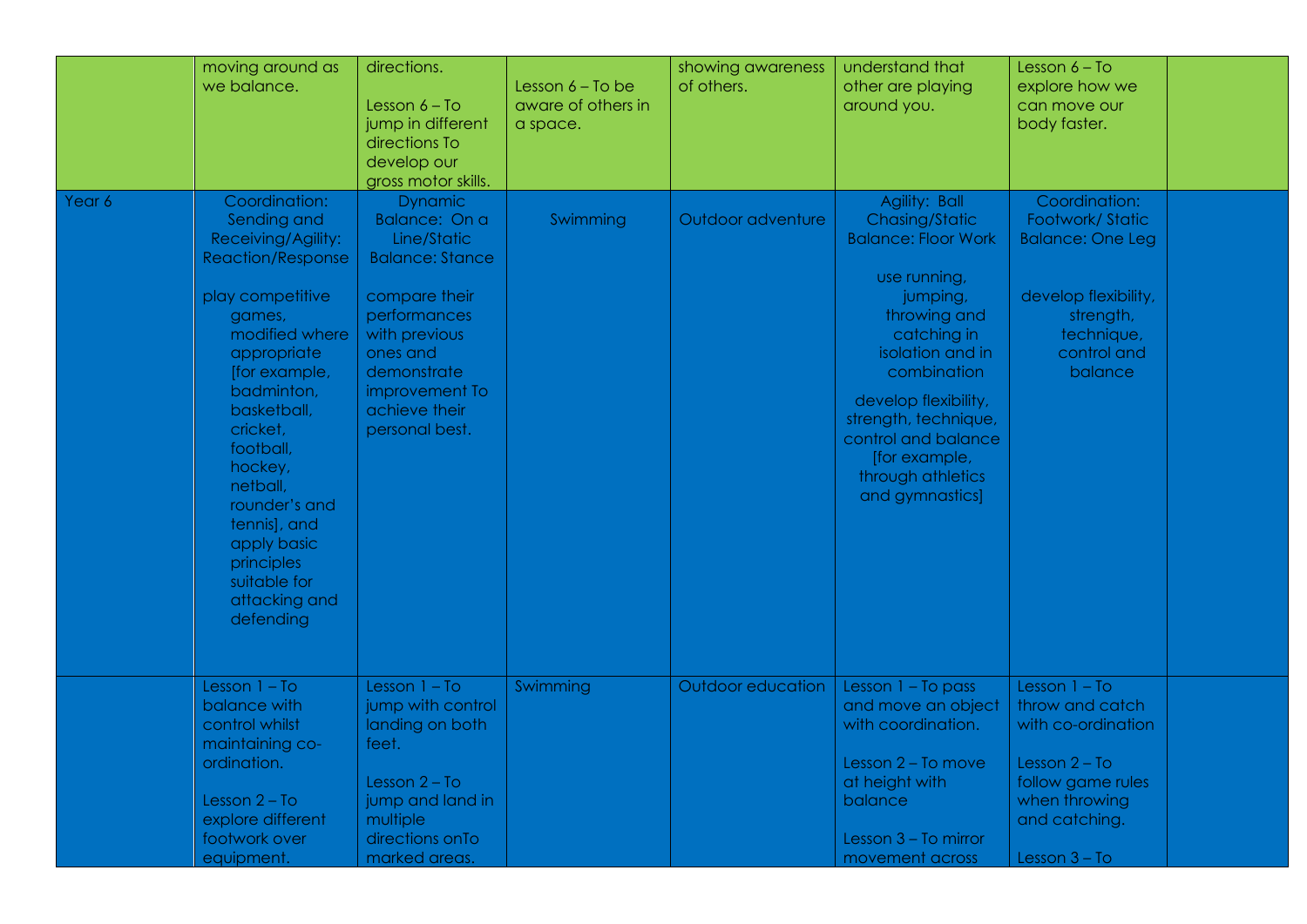|        | moving around as<br>we balance.                                                                                                                                                                                                                                                                                                                         | directions.<br>Lesson $6 - To$<br>jump in different<br>directions To<br>develop our<br>gross motor skills.                                                                                                 | Lesson 6 - To be<br>aware of others in<br>a space. | showing awareness<br>of others. | understand that<br>other are playing<br>around you.                                                                                                                                                                                                                                         | Lesson $6 - To$<br>explore how we<br>can move our<br>body faster.                                                                                     |  |
|--------|---------------------------------------------------------------------------------------------------------------------------------------------------------------------------------------------------------------------------------------------------------------------------------------------------------------------------------------------------------|------------------------------------------------------------------------------------------------------------------------------------------------------------------------------------------------------------|----------------------------------------------------|---------------------------------|---------------------------------------------------------------------------------------------------------------------------------------------------------------------------------------------------------------------------------------------------------------------------------------------|-------------------------------------------------------------------------------------------------------------------------------------------------------|--|
| Year 6 | Coordination:<br>Sending and<br>Receiving/Agility:<br><b>Reaction/Response</b><br>play competitive<br>games,<br>modified where<br>appropriate<br>[for example,<br>badminton,<br>basketball,<br>cricket,<br>football,<br>hockey,<br>netball,<br>rounder's and<br>tennis], and<br>apply basic<br>principles<br>suitable for<br>attacking and<br>defending | <b>Dynamic</b><br>Balance: On a<br>Line/Static<br><b>Balance: Stance</b><br>compare their<br>performances<br>with previous<br>ones and<br>demonstrate<br>improvement To<br>achieve their<br>personal best. | Swimming                                           | Outdoor adventure               | Agility: Ball<br>Chasing/Static<br><b>Balance: Floor Work</b><br>use running,<br>jumping,<br>throwing and<br>catching in<br>isolation and in<br>combination<br>develop flexibility,<br>strength, technique,<br>control and balance<br>[for example,<br>through athletics<br>and gymnastics] | Coordination:<br>Footwork/Static<br><b>Balance: One Leg</b><br>develop flexibility,<br>strength,<br>technique,<br>control and<br>balance              |  |
|        | Lesson $1 - To$<br>balance with<br>control whilst<br>maintaining co-<br>ordination.<br>Lesson $2 - To$<br>explore different<br>footwork over<br>equipment.                                                                                                                                                                                              | Lesson $1 - To$<br>jump with control<br>landing on both<br>feet.<br>Lesson $2 - To$<br>jump and land in<br>multiple<br>directions on To<br>marked areas.                                                   | Swimming                                           | Outdoor education               | Lesson $1 - To pass$<br>and move an object<br>with coordination.<br>Lesson 2 - To move<br>at height with<br>balance<br>Lesson 3 - To mirror<br>movement across                                                                                                                              | Lesson $1 - To$<br>throw and catch<br>with co-ordination<br>Lesson $2 - To$<br>follow game rules<br>when throwing<br>and catching.<br>Lesson $3 - To$ |  |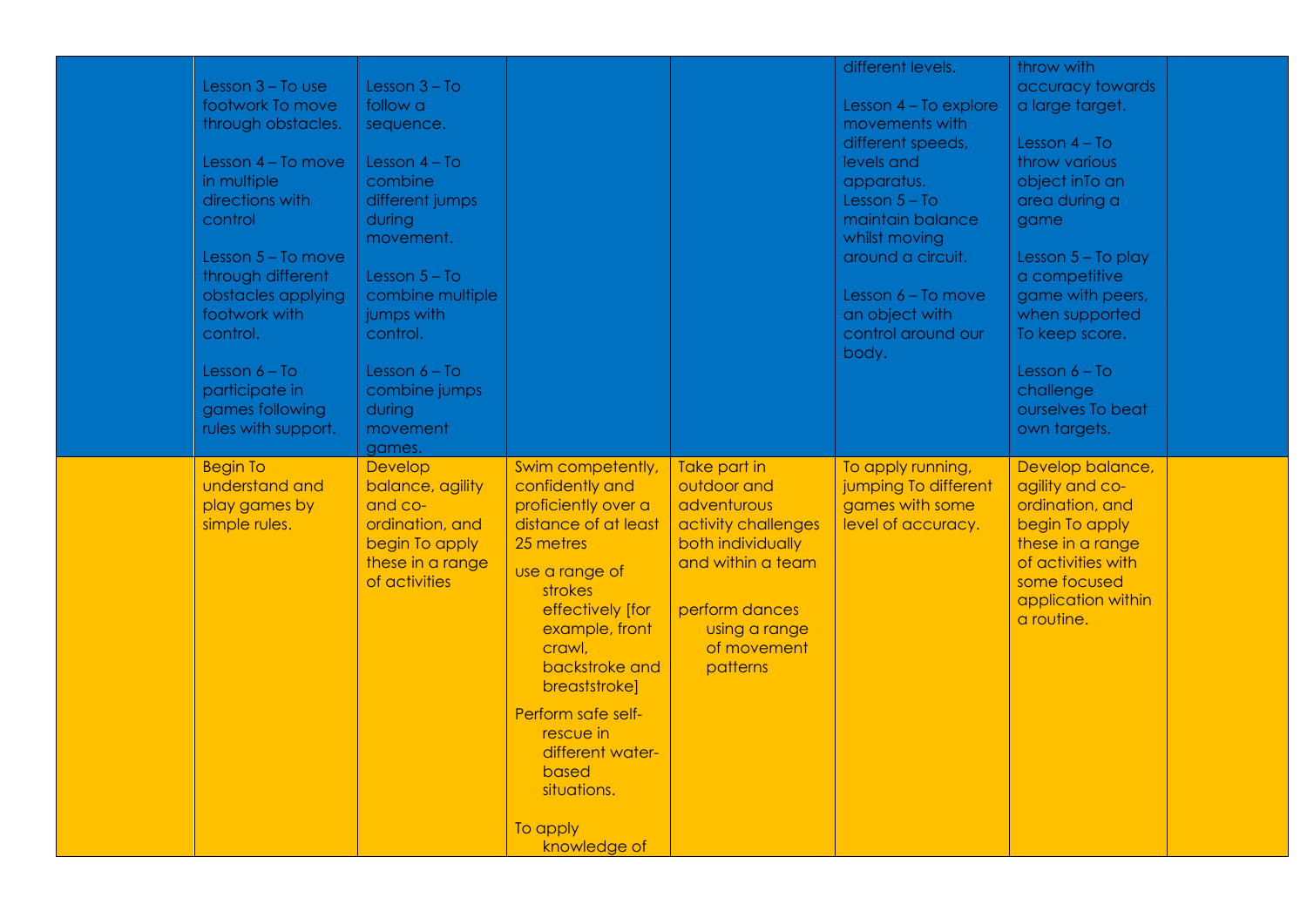|                      |                  |                      |                     | different levels.     | throw with           |  |
|----------------------|------------------|----------------------|---------------------|-----------------------|----------------------|--|
| Lesson $3 - To$ use  | Lesson $3 - To$  |                      |                     |                       | accuracy towards     |  |
| footwork To move     | follow a         |                      |                     | Lesson 4 - To explore | a large target.      |  |
| through obstacles.   | sequence.        |                      |                     | movements with        |                      |  |
|                      |                  |                      |                     | different speeds,     | Lesson $4 - To$      |  |
| Lesson 4 - To move   | Lesson $4 - To$  |                      |                     | levels and            | throw various        |  |
| in multiple          | combine          |                      |                     | apparatus.            | object inTo an       |  |
| directions with      | different jumps  |                      |                     | Lesson $5 - To$       | area during a        |  |
| control              | during           |                      |                     | maintain balance      | game                 |  |
|                      | movement.        |                      |                     | whilst moving         |                      |  |
| Lesson $5 - To move$ |                  |                      |                     | around a circuit.     | Lesson $5 - To$ play |  |
| through different    | Lesson $5 - To$  |                      |                     |                       | a competitive        |  |
| obstacles applying   | combine multiple |                      |                     | Lesson 6 - To move    | game with peers,     |  |
| footwork with        | jumps with       |                      |                     | an object with        | when supported       |  |
| control.             | control.         |                      |                     | control around our    | To keep score.       |  |
|                      |                  |                      |                     | body.                 |                      |  |
| Lesson $6 - To$      | Lesson $6 - To$  |                      |                     |                       | Lesson $6 - To$      |  |
| participate in       | combine jumps    |                      |                     |                       | challenge            |  |
| games following      | during           |                      |                     |                       | ourselves To beat    |  |
| rules with support.  | movement         |                      |                     |                       | own targets.         |  |
|                      |                  |                      |                     |                       |                      |  |
|                      | games.           |                      |                     |                       |                      |  |
| <b>Begin To</b>      | Develop          | Swim competently,    | Take part in        | To apply running,     | Develop balance,     |  |
| understand and       | balance, agility | confidently and      | outdoor and         | jumping To different  | agility and co-      |  |
| play games by        | and co-          | proficiently over a  | adventurous         | games with some       | ordination, and      |  |
| simple rules.        | ordination, and  | distance of at least | activity challenges | level of accuracy.    | begin To apply       |  |
|                      | begin To apply   | 25 metres            | both individually   |                       | these in a range     |  |
|                      | these in a range | use a range of       | and within a team   |                       | of activities with   |  |
|                      | of activities    | strokes              |                     |                       | some focused         |  |
|                      |                  | effectively [for     | perform dances      |                       | application within   |  |
|                      |                  | example, front       | using a range       |                       | a routine.           |  |
|                      |                  | crawl,               | of movement         |                       |                      |  |
|                      |                  |                      |                     |                       |                      |  |
|                      |                  | backstroke and       | patterns            |                       |                      |  |
|                      |                  | breaststroke]        |                     |                       |                      |  |
|                      |                  | Perform safe self-   |                     |                       |                      |  |
|                      |                  | rescue in            |                     |                       |                      |  |
|                      |                  | different water-     |                     |                       |                      |  |
|                      |                  | based                |                     |                       |                      |  |
|                      |                  | situations.          |                     |                       |                      |  |
|                      |                  |                      |                     |                       |                      |  |
|                      |                  |                      |                     |                       |                      |  |
|                      |                  | To apply             |                     |                       |                      |  |
|                      |                  | knowledge of         |                     |                       |                      |  |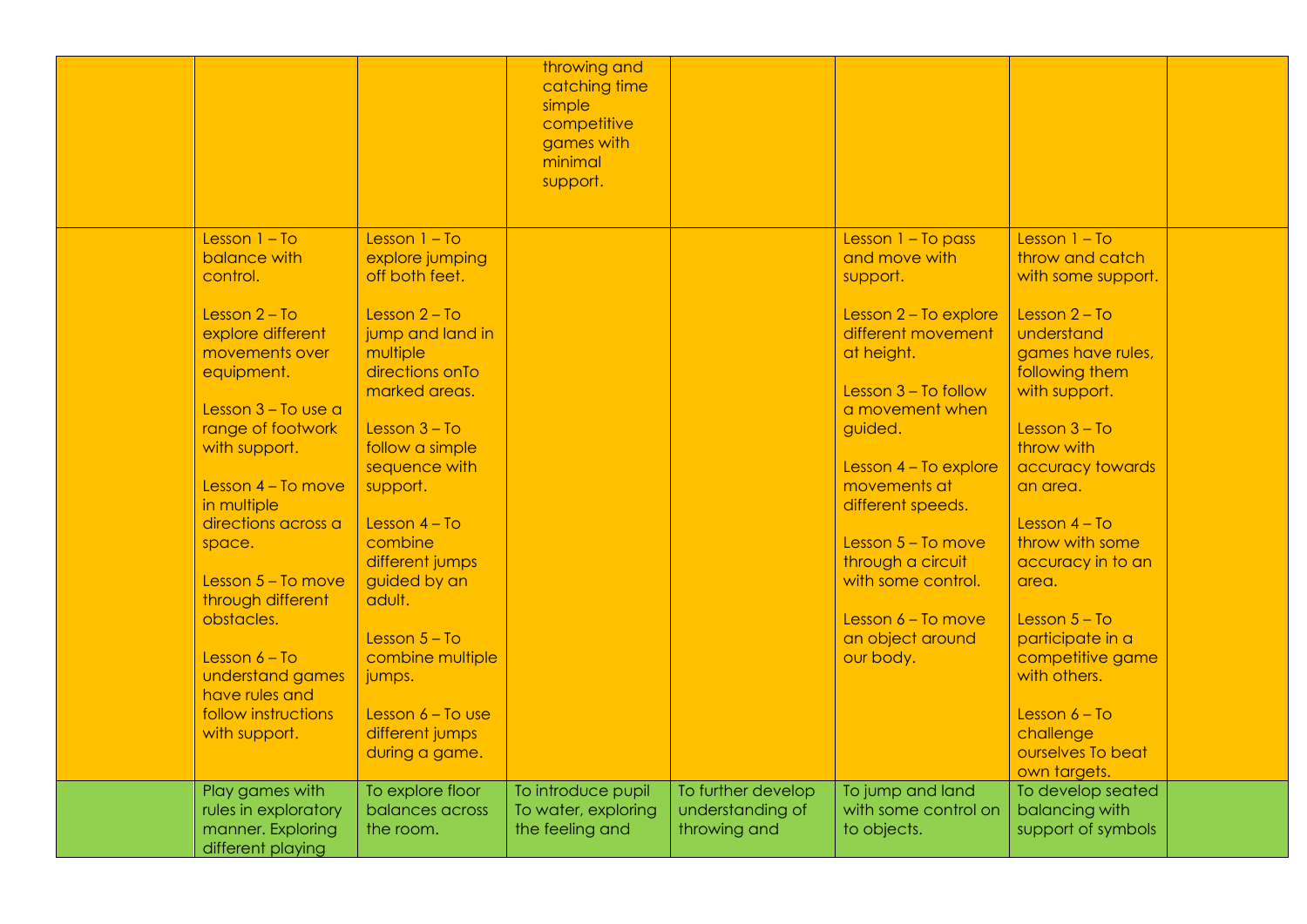|                                        |                     | throwing and<br>catching time<br>simple |                    |                       |                    |  |
|----------------------------------------|---------------------|-----------------------------------------|--------------------|-----------------------|--------------------|--|
|                                        |                     | competitive<br>games with               |                    |                       |                    |  |
|                                        |                     | minimal                                 |                    |                       |                    |  |
|                                        |                     | support.                                |                    |                       |                    |  |
|                                        |                     |                                         |                    |                       |                    |  |
|                                        |                     |                                         |                    |                       |                    |  |
| Lesson $1 - To$                        | Lesson $1 - To$     |                                         |                    | Lesson 1 - To pass    | Lesson $1 - To$    |  |
| balance with                           | explore jumping     |                                         |                    | and move with         | throw and catch    |  |
| control.                               | off both feet.      |                                         |                    | support.              | with some support. |  |
| Lesson $2 - To$                        | Lesson $2 - To$     |                                         |                    | Lesson 2 - To explore | Lesson $2 - To$    |  |
| explore different                      | jump and land in    |                                         |                    | different movement    | understand         |  |
| movements over                         | multiple            |                                         |                    | at height.            | games have rules,  |  |
| equipment.                             | directions on To    |                                         |                    |                       | following them     |  |
|                                        | marked areas.       |                                         |                    | Lesson 3 - To follow  | with support.      |  |
| Lesson $3 - To$ use a                  |                     |                                         |                    | a movement when       |                    |  |
| range of footwork                      | Lesson $3 - To$     |                                         |                    | guided.               | Lesson $3 - To$    |  |
| with support.                          | follow a simple     |                                         |                    |                       | throw with         |  |
|                                        | sequence with       |                                         |                    | Lesson 4 - To explore | accuracy towards   |  |
| Lesson $4 - To move$<br>in multiple    | support.            |                                         |                    | movements at          | an area.           |  |
| directions across a                    | Lesson $4 - To$     |                                         |                    | different speeds.     | Lesson $4 - To$    |  |
| space.                                 | combine             |                                         |                    | Lesson 5 - To move    | throw with some    |  |
|                                        | different jumps     |                                         |                    | through a circuit     | accuracy in to an  |  |
| Lesson $5 - To move$                   | guided by an        |                                         |                    | with some control.    | area.              |  |
| through different                      | adult.              |                                         |                    |                       |                    |  |
| obstacles.                             |                     |                                         |                    | Lesson $6 - To move$  | Lesson $5 - To$    |  |
|                                        | Lesson $5 - To$     |                                         |                    | an object around      | participate in a   |  |
| Lesson $6 - To$                        | combine multiple    |                                         |                    | our body.             | competitive game   |  |
| understand games                       | jumps.              |                                         |                    |                       | with others.       |  |
| have rules and                         |                     |                                         |                    |                       |                    |  |
| follow instructions                    | Lesson $6 - To$ use |                                         |                    |                       | Lesson $6 - To$    |  |
| with support.                          | different jumps     |                                         |                    |                       | challenge          |  |
|                                        | during a game.      |                                         |                    |                       | ourselves To beat  |  |
|                                        |                     |                                         |                    |                       | own targets.       |  |
| Play games with                        | To explore floor    | To introduce pupil                      | To further develop | To jump and land      | To develop seated  |  |
| rules in exploratory                   | balances across     | To water, exploring                     | understanding of   | with some control on  | balancing with     |  |
| manner. Exploring<br>different playing | the room.           | the feeling and                         | throwing and       | to objects.           | support of symbols |  |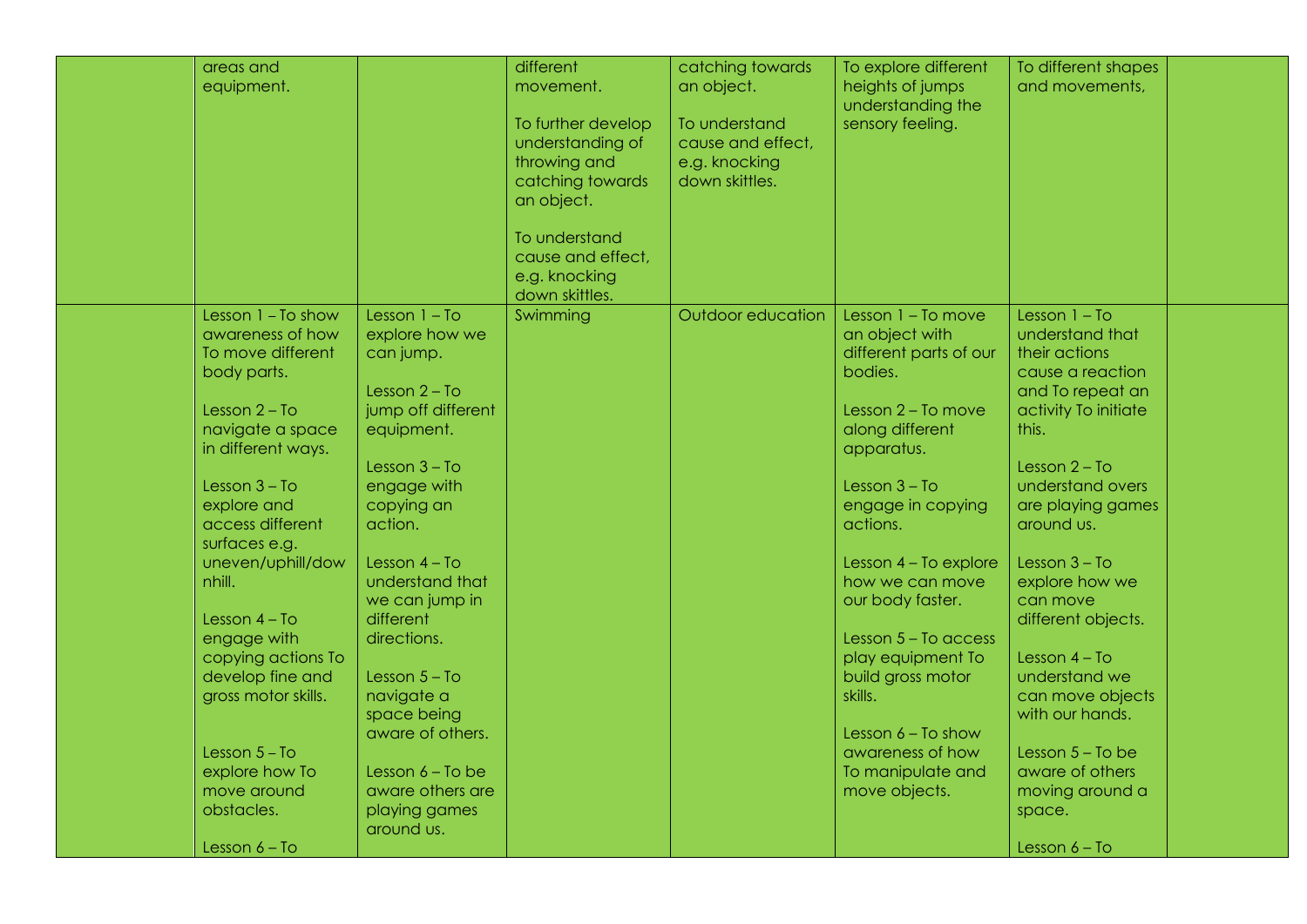| areas and           |                    | different          | catching towards  | To explore different   | To different shapes  |  |
|---------------------|--------------------|--------------------|-------------------|------------------------|----------------------|--|
| equipment.          |                    | movement.          | an object.        | heights of jumps       | and movements,       |  |
|                     |                    |                    |                   | understanding the      |                      |  |
|                     |                    | To further develop | To understand     | sensory feeling.       |                      |  |
|                     |                    | understanding of   | cause and effect, |                        |                      |  |
|                     |                    | throwing and       | e.g. knocking     |                        |                      |  |
|                     |                    | catching towards   | down skittles.    |                        |                      |  |
|                     |                    | an object.         |                   |                        |                      |  |
|                     |                    |                    |                   |                        |                      |  |
|                     |                    | To understand      |                   |                        |                      |  |
|                     |                    | cause and effect,  |                   |                        |                      |  |
|                     |                    | e.g. knocking      |                   |                        |                      |  |
|                     |                    | down skittles.     |                   |                        |                      |  |
| Lesson 1 - To show  | Lesson $1 - To$    | Swimming           | Outdoor education | Lesson 1 - To move     | Lesson $1 - To$      |  |
| awareness of how    | explore how we     |                    |                   | an object with         | understand that      |  |
| To move different   | can jump.          |                    |                   | different parts of our | their actions        |  |
| body parts.         |                    |                    |                   | bodies.                | cause a reaction     |  |
|                     | Lesson $2 - To$    |                    |                   |                        | and To repeat an     |  |
| Lesson $2 - To$     | jump off different |                    |                   | Lesson 2 - To move     | activity To initiate |  |
| navigate a space    | equipment.         |                    |                   | along different        | this.                |  |
| in different ways.  |                    |                    |                   | apparatus.             |                      |  |
|                     | Lesson $3 - To$    |                    |                   |                        | Lesson $2 - To$      |  |
| Lesson $3 - To$     | engage with        |                    |                   | Lesson $3 - To$        | understand overs     |  |
| explore and         | copying an         |                    |                   | engage in copying      | are playing games    |  |
| access different    | action.            |                    |                   | actions.               | around us.           |  |
| surfaces e.g.       |                    |                    |                   |                        |                      |  |
| uneven/uphill/dow   | Lesson $4 - To$    |                    |                   | Lesson 4 - To explore  | Lesson $3 - To$      |  |
| nhill.              | understand that    |                    |                   | how we can move        | explore how we       |  |
|                     | we can jump in     |                    |                   | our body faster.       | can move             |  |
| Lesson $4 - To$     | different          |                    |                   |                        | different objects.   |  |
| engage with         | directions.        |                    |                   | Lesson 5 - To access   |                      |  |
| copying actions To  |                    |                    |                   | play equipment To      | Lesson $4 - To$      |  |
| develop fine and    | Lesson $5 - To$    |                    |                   | build gross motor      | understand we        |  |
| gross motor skills. | navigate a         |                    |                   | skills.                | can move objects     |  |
|                     | space being        |                    |                   |                        | with our hands.      |  |
|                     | aware of others.   |                    |                   | Lesson $6 - To show$   |                      |  |
| Lesson $5 - To$     |                    |                    |                   | awareness of how       | Lesson $5 - To$ be   |  |
| explore how To      | Lesson $6 - To$ be |                    |                   | To manipulate and      | aware of others      |  |
| move around         | aware others are   |                    |                   | move objects.          | moving around a      |  |
| obstacles.          | playing games      |                    |                   |                        | space.               |  |
|                     | around us.         |                    |                   |                        |                      |  |
| Lesson $6 - To$     |                    |                    |                   |                        | Lesson $6 - To$      |  |